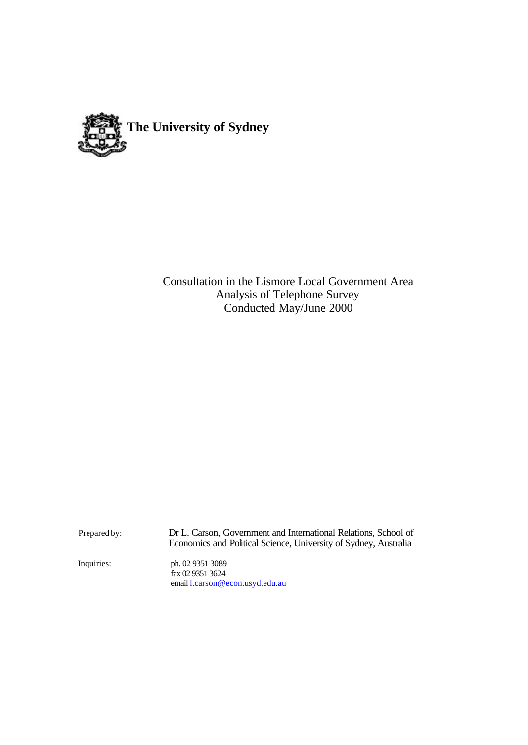

Consultation in the Lismore Local Government Area Analysis of Telephone Survey Conducted May/June 2000

Prepared by: Dr L. Carson, Government and International Relations, School of Economics and Political Science, University of Sydney, Australia Inquiries: ph. 02 9351 3089 fax 02 9351 3624 email l.carson@econ.usyd.edu.au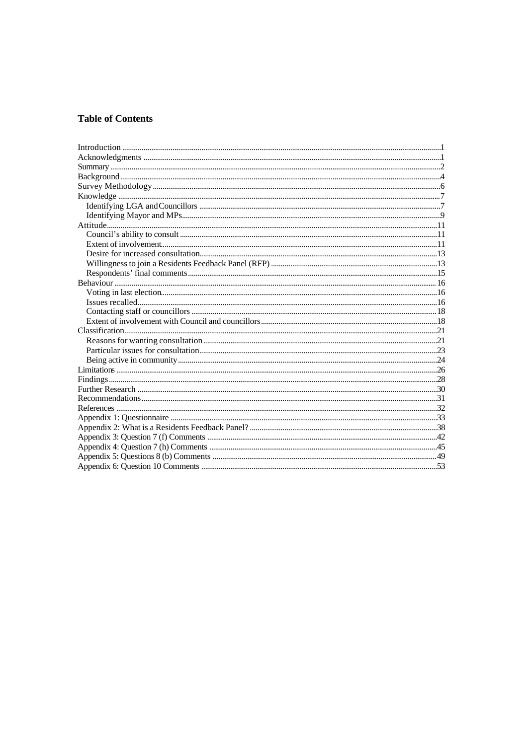# **Table of Contents**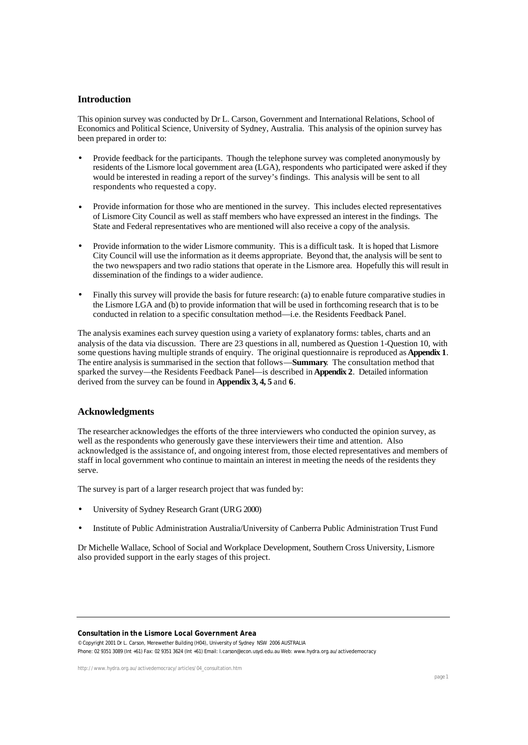# **Introduction**

This opinion survey was conducted by Dr L. Carson, Government and International Relations, School of Economics and Political Science, University of Sydney, Australia. This analysis of the opinion survey has been prepared in order to:

- Provide feedback for the participants. Though the telephone survey was completed anonymously by residents of the Lismore local government area (LGA), respondents who participated were asked if they would be interested in reading a report of the survey's findings. This analysis will be sent to all respondents who requested a copy.
- Provide information for those who are mentioned in the survey. This includes elected representatives of Lismore City Council as well as staff members who have expressed an interest in the findings. The State and Federal representatives who are mentioned will also receive a copy of the analysis.
- Provide information to the wider Lismore community. This is a difficult task. It is hoped that Lismore City Council will use the information as it deems appropriate. Beyond that, the analysis will be sent to the two newspapers and two radio stations that operate in the Lismore area. Hopefully this will result in dissemination of the findings to a wider audience.
- Finally this survey will provide the basis for future research: (a) to enable future comparative studies in the Lismore LGA and (b) to provide information that will be used in forthcoming research that is to be conducted in relation to a specific consultation method—i.e. the Residents Feedback Panel.

The analysis examines each survey question using a variety of explanatory forms: tables, charts and an analysis of the data via discussion. There are 23 questions in all, numbered as Question 1-Question 10, with some questions having multiple strands of enquiry. The original questionnaire is reproduced as **Appendix 1**. The entire analysis is summarised in the section that follows—**Summary**. The consultation method that sparked the survey—the Residents Feedback Panel—is described in **Appendix 2**. Detailed information derived from the survey can be found in **Appendix 3, 4, 5** and **6**.

# **Acknowledgments**

The researcher acknowledges the efforts of the three interviewers who conducted the opinion survey, as well as the respondents who generously gave these interviewers their time and attention. Also acknowledged is the assistance of, and ongoing interest from, those elected representatives and members of staff in local government who continue to maintain an interest in meeting the needs of the residents they serve.

The survey is part of a larger research project that was funded by:

- University of Sydney Research Grant (URG 2000)
- Institute of Public Administration Australia/University of Canberra Public Administration Trust Fund

Dr Michelle Wallace, School of Social and Workplace Development, Southern Cross University, Lismore also provided support in the early stages of this project.

#### **Consultation in the Lismore Local Government Area**

© Copyright 2001 Dr L. Carson, Merewether Building (H04), University of Sydney NSW 2006 AUSTRALIA Phone: 02 9351 3089 (Int +61) Fax: 02 9351 3624 (Int +61) Email: l.carson@econ.usyd.edu.au Web: www.hydra.org.au/activedemocracy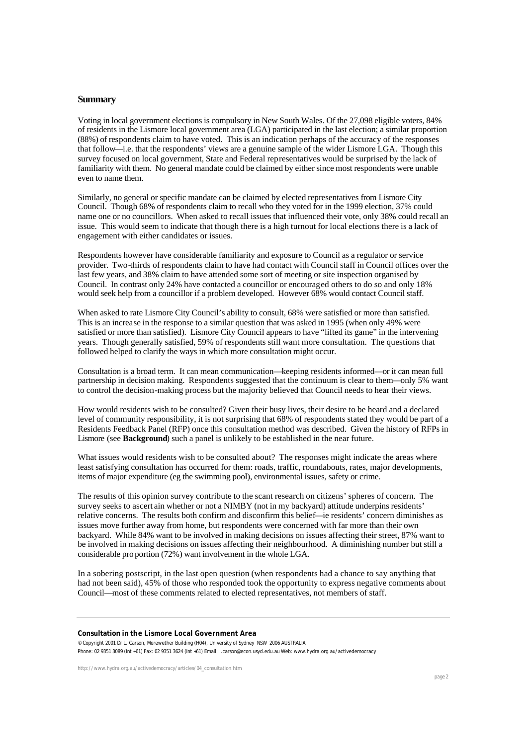## **Summary**

Voting in local government elections is compulsory in New South Wales. Of the 27,098 eligible voters, 84% of residents in the Lismore local government area (LGA) participated in the last election; a similar proportion (88%) of respondents claim to have voted. This is an indication perhaps of the accuracy of the responses that follow—i.e. that the respondents' views are a genuine sample of the wider Lismore LGA. Though this survey focused on local government, State and Federal representatives would be surprised by the lack of familiarity with them. No general mandate could be claimed by either since most respondents were unable even to name them.

Similarly, no general or specific mandate can be claimed by elected representatives from Lismore City Council. Though 68% of respondents claim to recall who they voted for in the 1999 election, 37% could name one or no councillors. When asked to recall issues that influenced their vote, only 38% could recall an issue. This would seem to indicate that though there is a high turnout for local elections there is a lack of engagement with either candidates or issues.

Respondents however have considerable familiarity and exposure to Council as a regulator or service provider. Two-thirds of respondents claim to have had contact with Council staff in Council offices over the last few years, and 38% claim to have attended some sort of meeting or site inspection organised by Council. In contrast only 24% have contacted a councillor or encouraged others to do so and only 18% would seek help from a councillor if a problem developed. However 68% would contact Council staff.

When asked to rate Lismore City Council's ability to consult,  $68\%$  were satisfied or more than satisfied. This is an increase in the response to a similar question that was asked in 1995 (when only 49% were satisfied or more than satisfied). Lismore City Council appears to have "lifted its game" in the intervening years. Though generally satisfied, 59% of respondents still want more consultation. The questions that followed helped to clarify the ways in which more consultation might occur.

Consultation is a broad term. It can mean communication—keeping residents informed—or it can mean full partnership in decision making. Respondents suggested that the continuum is clear to them—only 5% want to control the decision-making process but the majority believed that Council needs to hear their views.

How would residents wish to be consulted? Given their busy lives, their desire to be heard and a declared level of community responsibility, it is not surprising that 68% of respondents stated they would be part of a Residents Feedback Panel (RFP) once this consultation method was described. Given the history of RFPs in Lismore (see **Background**) such a panel is unlikely to be established in the near future.

What issues would residents wish to be consulted about? The responses might indicate the areas where least satisfying consultation has occurred for them: roads, traffic, roundabouts, rates, major developments, items of major expenditure (eg the swimming pool), environmental issues, safety or crime.

The results of this opinion survey contribute to the scant research on citizens' spheres of concern. The survey seeks to ascert ain whether or not a NIMBY (not in my backyard) attitude underpins residents' relative concerns. The results both confirm and disconfirm this belief—ie residents' concern diminishes as issues move further away from home, but respondents were concerned with far more than their own backyard. While 84% want to be involved in making decisions on issues affecting their street, 87% want to be involved in making decisions on issues affecting their neighbourhood. A diminishing number but still a considerable pro portion (72%) want involvement in the whole LGA.

In a sobering postscript, in the last open question (when respondents had a chance to say anything that had not been said), 45% of those who responded took the opportunity to express negative comments about Council—most of these comments related to elected representatives, not members of staff.

## **Consultation in the Lismore Local Government Area**

© Copyright 2001 Dr L. Carson, Merewether Building (H04), University of Sydney NSW 2006 AUSTRALIA Phone: 02 9351 3089 (Int +61) Fax: 02 9351 3624 (Int +61) Email: l.carson@econ.usyd.edu.au Web: www.hydra.org.au/activedemocracy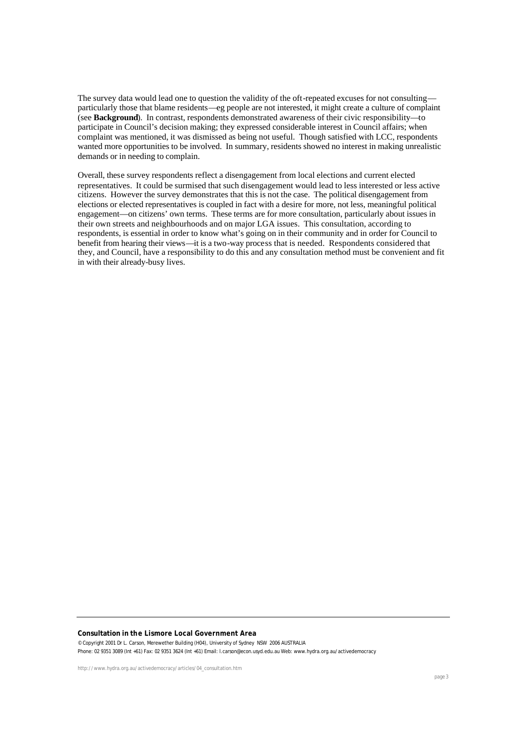The survey data would lead one to question the validity of the oft-repeated excuses for not consulting particularly those that blame residents—eg people are not interested, it might create a culture of complaint (see **Background**). In contrast, respondents demonstrated awareness of their civic responsibility—to participate in Council's decision making; they expressed considerable interest in Council affairs; when complaint was mentioned, it was dismissed as being not useful. Though satisfied with LCC, respondents wanted more opportunities to be involved. In summary, residents showed no interest in making unrealistic demands or in needing to complain.

Overall, these survey respondents reflect a disengagement from local elections and current elected representatives. It could be surmised that such disengagement would lead to less interested or less active citizens. However the survey demonstrates that this is not the case. The political disengagement from elections or elected representatives is coupled in fact with a desire for more, not less, meaningful political engagement—on citizens' own terms. These terms are for more consultation, particularly about issues in their own streets and neighbourhoods and on major LGA issues. This consultation, according to respondents, is essential in order to know what's going on in their community and in order for Council to benefit from hearing their views—it is a two-way process that is needed. Respondents considered that they, and Council, have a responsibility to do this and any consultation method must be convenient and fit in with their already-busy lives.

## **Consultation in the Lismore Local Government Area**

© Copyright 2001 Dr L. Carson, Merewether Building (H04), University of Sydney NSW 2006 AUSTRALIA Phone: 02 9351 3089 (Int +61) Fax: 02 9351 3624 (Int +61) Email: l.carson@econ.usyd.edu.au Web: www.hydra.org.au/activedemocracy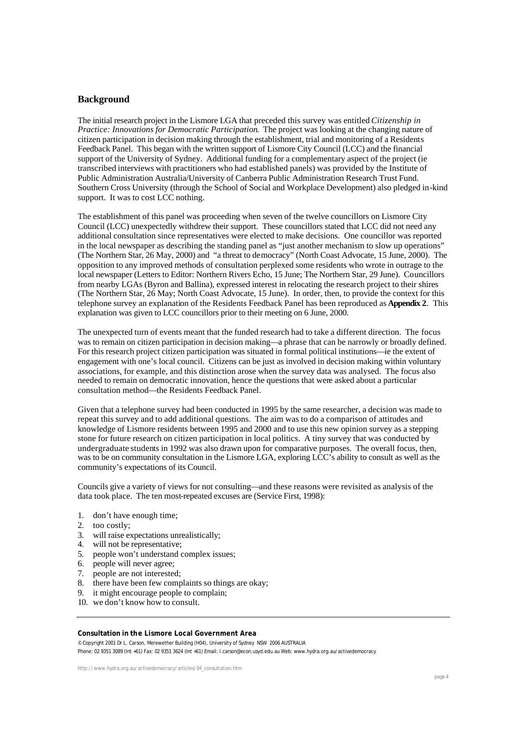# **Background**

The initial research project in the Lismore LGA that preceded this survey was entitled *Citizenship in Practice: Innovations for Democratic Participation*. The project was looking at the changing nature of citizen participation in decision making through the establishment, trial and monitoring of a Residents Feedback Panel. This began with the written support of Lismore City Council (LCC) and the financial support of the University of Sydney. Additional funding for a complementary aspect of the project (ie transcribed interviews with practitioners who had established panels) was provided by the Institute of Public Administration Australia/University of Canberra Public Administration Research Trust Fund. Southern Cross University (through the School of Social and Workplace Development) also pledged in-kind support. It was to cost LCC nothing.

The establishment of this panel was proceeding when seven of the twelve councillors on Lismore City Council (LCC) unexpectedly withdrew their support. These councillors stated that LCC did not need any additional consultation since representatives were elected to make decisions. One councillor was reported in the local newspaper as describing the standing panel as "just another mechanism to slow up operations" (The Northern Star, 26 May, 2000) and "a threat to democracy" (North Coast Advocate, 15 June, 2000). The opposition to any improved methods of consultation perplexed some residents who wrote in outrage to the local newspaper (Letters to Editor: Northern Rivers Echo, 15 June; The Northern Star, 29 June). Councillors from nearby LGAs (Byron and Ballina), expressed interest in relocating the research project to their shires (The Northern Star, 26 May; North Coast Advocate, 15 June). In order, then, to provide the context for this telephone survey an explanation of the Residents Feedback Panel has been reproduced as **Appendix 2**. This explanation was given to LCC councillors prior to their meeting on 6 June, 2000.

The unexpected turn of events meant that the funded research had to take a different direction. The focus was to remain on citizen participation in decision making—a phrase that can be narrowly or broadly defined. For this research project citizen participation was situated in formal political institutions—ie the extent of engagement with one's local council. Citizens can be just as involved in decision making within voluntary associations, for example, and this distinction arose when the survey data was analysed. The focus also needed to remain on democratic innovation, hence the questions that were asked about a particular consultation method—the Residents Feedback Panel.

Given that a telephone survey had been conducted in 1995 by the same researcher, a decision was made to repeat this survey and to add additional questions. The aim was to do a comparison of attitudes and knowledge of Lismore residents between 1995 and 2000 and to use this new opinion survey as a stepping stone for future research on citizen participation in local politics. A tiny survey that was conducted by undergraduate students in 1992 was also drawn upon for comparative purposes. The overall focus, then, was to be on community consultation in the Lismore LGA, exploring LCC's ability to consult as well as the community's expectations of its Council.

Councils give a variety of views for not consulting—and these reasons were revisited as analysis of the data took place. The ten most-repeated excuses are (Service First, 1998):

- 1. don't have enough time;
- 2. too costly;
- 3. will raise expectations unrealistically;
- 4. will not be representative;
- 5. people won't understand complex issues;
- 6. people will never agree;
- 7. people are not interested;
- 8. there have been few complaints so things are okay;
- 9. it might encourage people to complain;
- 10. we don't know how to consult.

## **Consultation in the Lismore Local Government Area**

© Copyright 2001 Dr L. Carson, Merewether Building (H04), University of Sydney NSW 2006 AUSTRALIA Phone: 02 9351 3089 (Int +61) Fax: 02 9351 3624 (Int +61) Email: l.carson@econ.usyd.edu.au Web: www.hydra.org.au/activedemocracy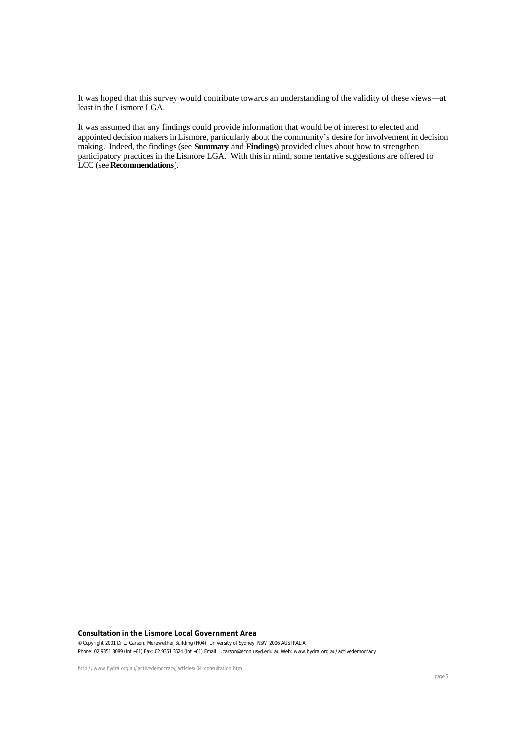It was hoped that this survey would contribute towards an understanding of the validity of these views—at least in the Lismore LGA.

It was assumed that any findings could provide information that would be of interest to elected and appointed decision makers in Lismore, particularly about the community's desire for involvement in decision making. Indeed, the findings (see **Summary** and **Findings**) provided clues about how to strengthen participatory practices in the Lismore LGA. With this in mind, some tentative suggestions are offered to LCC (see **Recommendations**).

# **Consultation in the Lismore Local Government Area**

© Copyright 2001 Dr L. Carson, Merewether Building (H04), University of Sydney NSW 2006 AUSTRALIA Phone: 02 9351 3089 (Int +61) Fax: 02 9351 3624 (Int +61) Email: l.carson@econ.usyd.edu.au Web: www.hydra.org.au/activedemocracy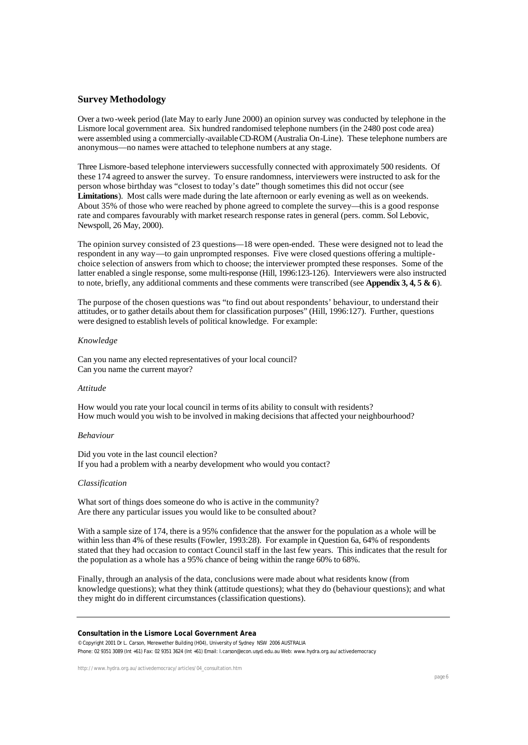# **Survey Methodology**

Over a two-week period (late May to early June 2000) an opinion survey was conducted by telephone in the Lismore local government area. Six hundred randomised telephone numbers (in the 2480 post code area) were assembled using a commercially-available CD-ROM (Australia On-Line). These telephone numbers are anonymous—no names were attached to telephone numbers at any stage.

Three Lismore-based telephone interviewers successfully connected with approximately 500 residents. Of these 174 agreed to answer the survey. To ensure randomness, interviewers were instructed to ask for the person whose birthday was "closest to today's date" though sometimes this did not occur (see **Limitations**). Most calls were made during the late afternoon or early evening as well as on weekends. About 35% of those who were reached by phone agreed to complete the survey—this is a good response rate and compares favourably with market research response rates in general (pers. comm. Sol Lebovic, Newspoll, 26 May, 2000).

The opinion survey consisted of 23 questions—18 were open-ended. These were designed not to lead the respondent in any way—to gain unprompted responses. Five were closed questions offering a multiplechoice selection of answers from which to choose; the interviewer prompted these responses. Some of the latter enabled a single response, some multi-response (Hill, 1996:123-126). Interviewers were also instructed to note, briefly, any additional comments and these comments were transcribed (see **Appendix 3, 4, 5 & 6**).

The purpose of the chosen questions was "to find out about respondents' behaviour, to understand their attitudes, or to gather details about them for classification purposes" (Hill, 1996:127). Further, questions were designed to establish levels of political knowledge. For example:

## *Knowledge*

Can you name any elected representatives of your local council? Can you name the current mayor?

#### *Attitude*

How would you rate your local council in terms of its ability to consult with residents? How much would you wish to be involved in making decisions that affected your neighbourhood?

## *Behaviour*

Did you vote in the last council election? If you had a problem with a nearby development who would you contact?

## *Classification*

What sort of things does someone do who is active in the community? Are there any particular issues you would like to be consulted about?

With a sample size of 174, there is a 95% confidence that the answer for the population as a whole will be within less than 4% of these results (Fowler, 1993:28). For example in Question 6a, 64% of respondents stated that they had occasion to contact Council staff in the last few years. This indicates that the result for the population as a whole has a 95% chance of being within the range 60% to 68%.

Finally, through an analysis of the data, conclusions were made about what residents know (from knowledge questions); what they think (attitude questions); what they do (behaviour questions); and what they might do in different circumstances (classification questions).

## **Consultation in the Lismore Local Government Area**

© Copyright 2001 Dr L. Carson, Merewether Building (H04), University of Sydney NSW 2006 AUSTRALIA Phone: 02 9351 3089 (Int +61) Fax: 02 9351 3624 (Int +61) Email: l.carson@econ.usyd.edu.au Web: www.hydra.org.au/activedemocracy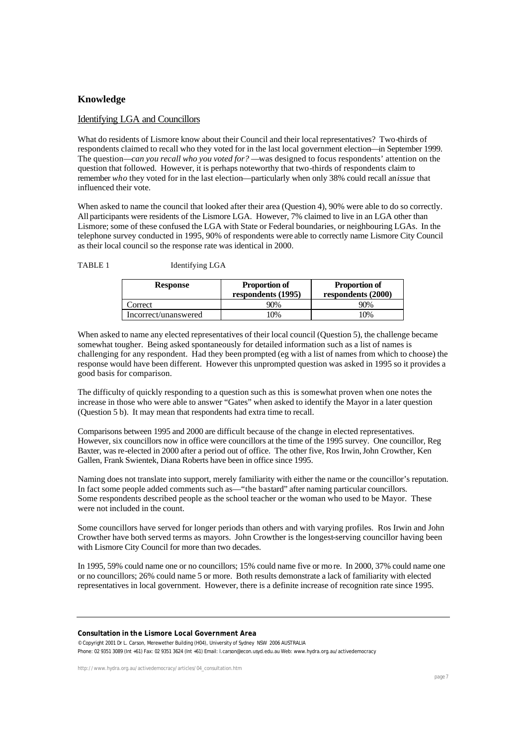# **Knowledge**

# Identifying LGA and Councillors

What do residents of Lismore know about their Council and their local representatives? Two-thirds of respondents claimed to recall who they voted for in the last local government election—in September 1999. The question—*can you recall who you voted for?* —was designed to focus respondents' attention on the question that followed. However, it is perhaps noteworthy that two-thirds of respondents claim to remember *who* they voted for in the last election—particularly when only 38% could recall an *issue* that influenced their vote.

When asked to name the council that looked after their area (Question 4), 90% were able to do so correctly. All participants were residents of the Lismore LGA. However, 7% claimed to live in an LGA other than Lismore; some of these confused the LGA with State or Federal boundaries, or neighbouring LGAs. In the telephone survey conducted in 1995, 90% of respondents were able to correctly name Lismore City Council as their local council so the response rate was identical in 2000.

TABLE 1 Identifying LGA

| <b>Response</b>      | <b>Proportion of</b><br>respondents (1995) | <b>Proportion of</b><br>respondents (2000) |
|----------------------|--------------------------------------------|--------------------------------------------|
| Correct              | 90%                                        | 90%                                        |
| Incorrect/unanswered | .0%                                        | 0%                                         |

When asked to name any elected representatives of their local council (Question 5), the challenge became somewhat tougher. Being asked spontaneously for detailed information such as a list of names is challenging for any respondent. Had they been prompted (eg with a list of names from which to choose) the response would have been different. However this unprompted question was asked in 1995 so it provides a good basis for comparison.

The difficulty of quickly responding to a question such as this is somewhat proven when one notes the increase in those who were able to answer "Gates" when asked to identify the Mayor in a later question (Question 5 b). It may mean that respondents had extra time to recall.

Comparisons between 1995 and 2000 are difficult because of the change in elected representatives. However, six councillors now in office were councillors at the time of the 1995 survey. One councillor, Reg Baxter, was re-elected in 2000 after a period out of office. The other five, Ros Irwin, John Crowther, Ken Gallen, Frank Swientek, Diana Roberts have been in office since 1995.

Naming does not translate into support, merely familiarity with either the name or the councillor's reputation. In fact some people added comments such as—"the bastard" after naming particular councillors. Some respondents described people as the school teacher or the woman who used to be Mayor. These were not included in the count.

Some councillors have served for longer periods than others and with varying profiles. Ros Irwin and John Crowther have both served terms as mayors. John Crowther is the longest-serving councillor having been with Lismore City Council for more than two decades.

In 1995, 59% could name one or no councillors; 15% could name five or mo re. In 2000, 37% could name one or no councillors; 26% could name 5 or more. Both results demonstrate a lack of familiarity with elected representatives in local government. However, there is a definite increase of recognition rate since 1995.

## **Consultation in the Lismore Local Government Area**

© Copyright 2001 Dr L. Carson, Merewether Building (H04), University of Sydney NSW 2006 AUSTRALIA Phone: 02 9351 3089 (Int +61) Fax: 02 9351 3624 (Int +61) Email: l.carson@econ.usyd.edu.au Web: www.hydra.org.au/activedemocracy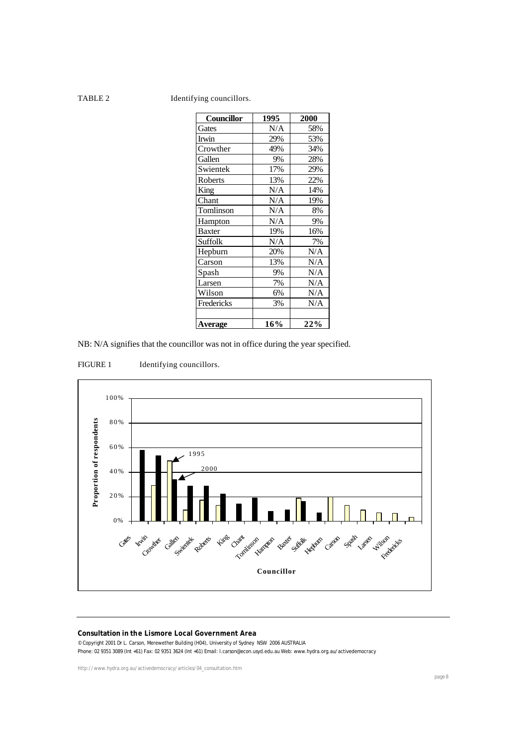# TABLE 2 Identifying councillors.

| Councillor     | 1995 | 2000 |
|----------------|------|------|
| Gates          | N/A  | 58%  |
| Irwin          | 29%  | 53%  |
| Crowther       | 49%  | 34%  |
| Gallen         | 9%   | 28%  |
| Swientek       | 17%  | 29%  |
| Roberts        | 13%  | 22%  |
| King           | N/A  | 14%  |
| Chant          | N/A  | 19%  |
| Tomlinson      | N/A  | 8%   |
| Hampton        | N/A  | 9%   |
| <b>Baxter</b>  | 19%  | 16%  |
| <b>Suffolk</b> | N/A  | 7%   |
| Hepburn        | 20%  | N/A  |
| Carson         | 13%  | N/A  |
| Spash          | 9%   | N/A  |
| Larsen         | 7%   | N/A  |
| Wilson         | 6%   | N/A  |
| Fredericks     | 3%   | N/A  |
|                |      |      |
| <b>Average</b> | 16%  | 22%  |

NB: N/A signifies that the councillor was not in office during the year specified.





# **Consultation in the Lismore Local Government Area**

© Copyright 2001 Dr L. Carson, Merewether Building (H04), University of Sydney NSW 2006 AUSTRALIA

Phone: 02 9351 3089 (Int +61) Fax: 02 9351 3624 (Int +61) Email: l.carson@econ.usyd.edu.au Web: www.hydra.org.au/activedemocracy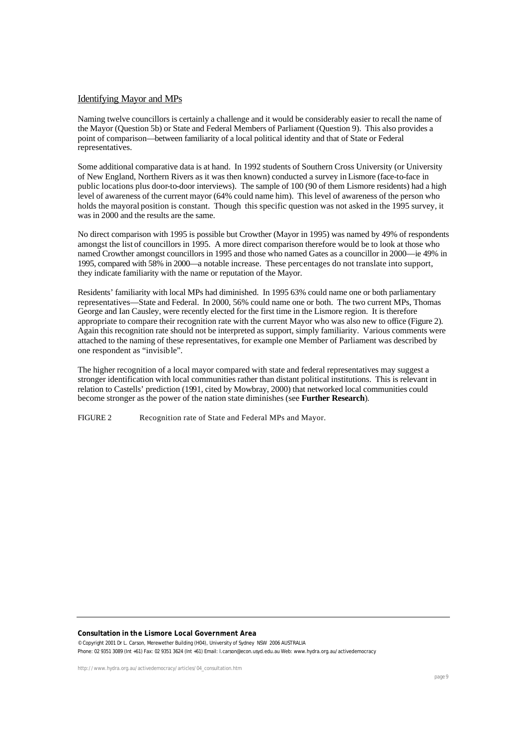# Identifying Mayor and MPs

Naming twelve councillors is certainly a challenge and it would be considerably easier to recall the name of the Mayor (Question 5b) or State and Federal Members of Parliament (Question 9). This also provides a point of comparison—between familiarity of a local political identity and that of State or Federal representatives.

Some additional comparative data is at hand. In 1992 students of Southern Cross University (or University of New England, Northern Rivers as it was then known) conducted a survey in Lismore (face-to-face in public locations plus door-to-door interviews). The sample of 100 (90 of them Lismore residents) had a high level of awareness of the current mayor (64% could name him). This level of awareness of the person who holds the mayoral position is constant. Though this specific question was not asked in the 1995 survey, it was in 2000 and the results are the same.

No direct comparison with 1995 is possible but Crowther (Mayor in 1995) was named by 49% of respondents amongst the list of councillors in 1995. A more direct comparison therefore would be to look at those who named Crowther amongst councillors in 1995 and those who named Gates as a councillor in 2000—ie 49% in 1995, compared with 58% in 2000—a notable increase. These percentages do not translate into support, they indicate familiarity with the name or reputation of the Mayor.

Residents' familiarity with local MPs had diminished. In 1995 63% could name one or both parliamentary representatives—State and Federal. In 2000, 56% could name one or both. The two current MPs, Thomas George and Ian Causley, were recently elected for the first time in the Lismore region. It is therefore appropriate to compare their recognition rate with the current Mayor who was also new to office (Figure 2). Again this recognition rate should not be interpreted as support, simply familiarity. Various comments were attached to the naming of these representatives, for example one Member of Parliament was described by one respondent as "invisible".

The higher recognition of a local mayor compared with state and federal representatives may suggest a stronger identification with local communities rather than distant political institutions. This is relevant in relation to Castells' prediction (1991, cited by Mowbray, 2000) that networked local communities could become stronger as the power of the nation state diminishes (see **Further Research**).

FIGURE 2 Recognition rate of State and Federal MPs and Mayor.

## **Consultation in the Lismore Local Government Area**

© Copyright 2001 Dr L. Carson, Merewether Building (H04), University of Sydney NSW 2006 AUSTRALIA Phone: 02 9351 3089 (Int +61) Fax: 02 9351 3624 (Int +61) Email: l.carson@econ.usyd.edu.au Web: www.hydra.org.au/activedemocracy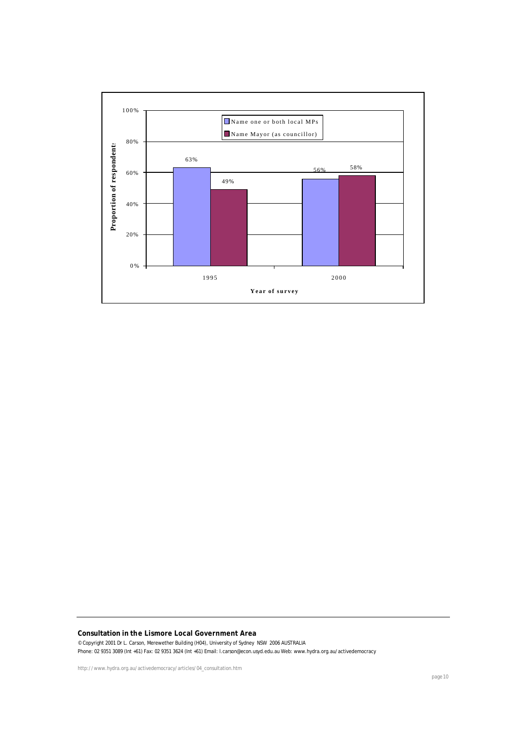

# **Consultation in the Lismore Local Government Area**

© Copyright 2001 Dr L. Carson, Merewether Building (H04), University of Sydney NSW 2006 AUSTRALIA Phone: 02 9351 3089 (Int +61) Fax: 02 9351 3624 (Int +61) Email: l.carson@econ.usyd.edu.au Web: www.hydra.org.au/activedemocracy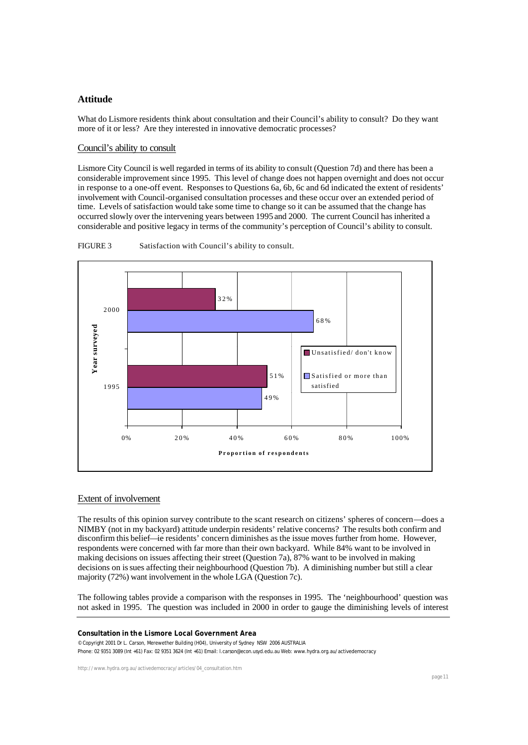# **Attitude**

What do Lismore residents think about consultation and their Council's ability to consult? Do they want more of it or less? Are they interested in innovative democratic processes?

# Council's ability to consult

Lismore City Council is well regarded in terms of its ability to consult (Question 7d) and there has been a considerable improvement since 1995. This level of change does not happen overnight and does not occur in response to a one-off event. Responses to Questions 6a, 6b, 6c and 6d indicated the extent of residents' involvement with Council-organised consultation processes and these occur over an extended period of time. Levels of satisfaction would take some time to change so it can be assumed that the change has occurred slowly over the intervening years between 1995 and 2000. The current Council has inherited a considerable and positive legacy in terms of the community's perception of Council's ability to consult.





# Extent of involvement

The results of this opinion survey contribute to the scant research on citizens' spheres of concern—does a NIMBY (not in my backyard) attitude underpin residents' relative concerns? The results both confirm and disconfirm this belief—ie residents' concern diminishes as the issue moves further from home. However, respondents were concerned with far more than their own backyard. While 84% want to be involved in making decisions on issues affecting their street (Question 7a), 87% want to be involved in making decisions on issues affecting their neighbourhood (Question 7b). A diminishing number but still a clear majority (72%) want involvement in the whole LGA (Question 7c).

The following tables provide a comparison with the responses in 1995. The 'neighbourhood' question was not asked in 1995. The question was included in 2000 in order to gauge the diminishing levels of interest

## **Consultation in the Lismore Local Government Area**

© Copyright 2001 Dr L. Carson, Merewether Building (H04), University of Sydney NSW 2006 AUSTRALIA Phone: 02 9351 3089 (Int +61) Fax: 02 9351 3624 (Int +61) Email: l.carson@econ.usyd.edu.au Web: www.hydra.org.au/activedemocracy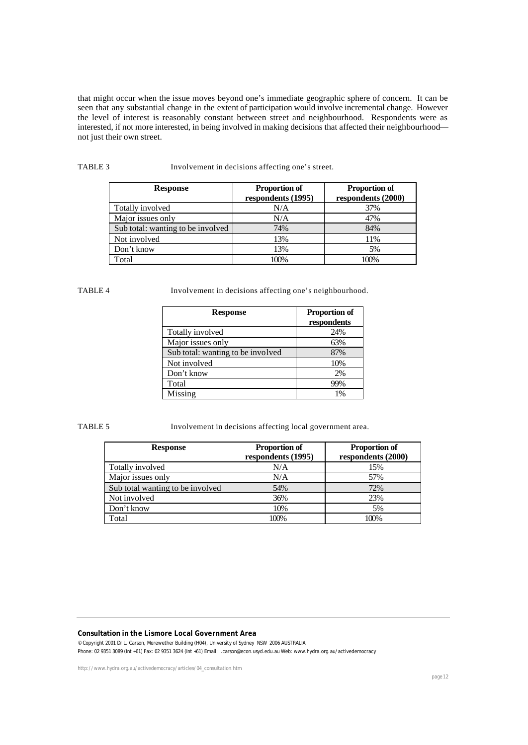that might occur when the issue moves beyond one's immediate geographic sphere of concern. It can be seen that any substantial change in the extent of participation would involve incremental change. However the level of interest is reasonably constant between street and neighbourhood. Respondents were as interested, if not more interested, in being involved in making decisions that affected their neighbourhood not just their own street.

TABLE 3 Involvement in decisions affecting one's street.

| <b>Response</b>                   | <b>Proportion of</b> | <b>Proportion of</b> |
|-----------------------------------|----------------------|----------------------|
|                                   | respondents (1995)   | respondents (2000)   |
| Totally involved                  | N/A                  | 37%                  |
| Major issues only                 | N/A                  | 47%                  |
| Sub total: wanting to be involved | 74%                  | 84%                  |
| Not involved                      | 13%                  | 11%                  |
| Don't know                        | 13%                  | 5%                   |
| Total                             | 100%                 | 100%                 |

TABLE 4 Involvement in decisions affecting one's neighbourhood.

| <b>Response</b>                   | <b>Proportion of</b><br>respondents |
|-----------------------------------|-------------------------------------|
| Totally involved                  | 24%                                 |
| Major issues only                 | 63%                                 |
| Sub total: wanting to be involved | 87%                                 |
| Not involved                      | 10%                                 |
| Don't know                        | 2%                                  |
| Total                             | 99%                                 |
| Missing                           | 1%                                  |

TABLE 5 Involvement in decisions affecting local government area.

| <b>Response</b>                  | <b>Proportion of</b><br>respondents (1995) | <b>Proportion of</b><br>respondents (2000) |
|----------------------------------|--------------------------------------------|--------------------------------------------|
| Totally involved                 | N/A                                        | 15%                                        |
| Major issues only                | N/A                                        | 57%                                        |
| Sub total wanting to be involved | 54%                                        | 72%                                        |
| Not involved                     | 36%                                        | 23%                                        |
| Don't know                       | 10%                                        | 5%                                         |
| Total                            | 100%                                       | 100%                                       |

# **Consultation in the Lismore Local Government Area**

© Copyright 2001 Dr L. Carson, Merewether Building (H04), University of Sydney NSW 2006 AUSTRALIA

Phone: 02 9351 3089 (Int +61) Fax: 02 9351 3624 (Int +61) Email: l.carson@econ.usyd.edu.au Web: www.hydra.org.au/activedemocracy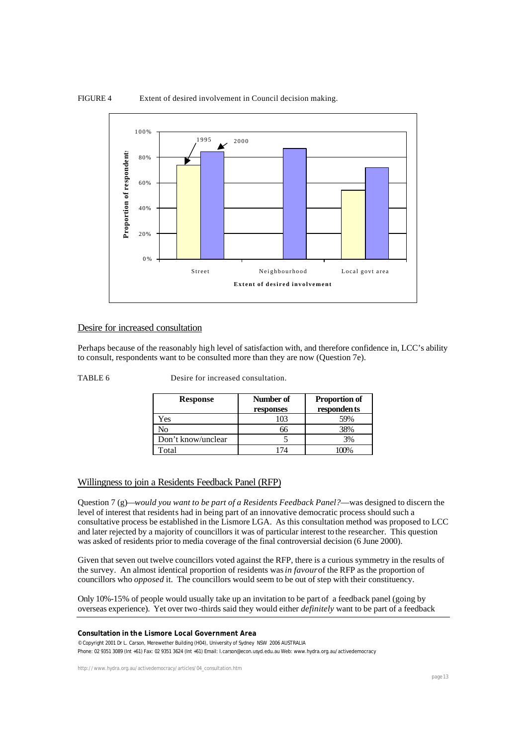

# Desire for increased consultation

Perhaps because of the reasonably high level of satisfaction with, and therefore confidence in, LCC's ability to consult, respondents want to be consulted more than they are now (Question 7e).

TABLE 6 Desire for increased consultation.

| <b>Response</b>    | Number of<br>responses | <b>Proportion of</b><br>respondents |
|--------------------|------------------------|-------------------------------------|
| Yes                | -03                    | 59%                                 |
| No                 | óh                     | 38%                                 |
| Don't know/unclear |                        | 3%                                  |
| Total              |                        | $\cdot$ $\gamma$ <sub>0</sub>       |

# Willingness to join a Residents Feedback Panel (RFP)

Question 7 (g)—*would you want to be part of a Residents Feedback Panel?*—was designed to discern the level of interest that residents had in being part of an innovative democratic process should such a consultative process be established in the Lismore LGA. As this consultation method was proposed to LCC and later rejected by a majority of councillors it was of particular interest to the researcher. This question was asked of residents prior to media coverage of the final controversial decision (6 June 2000).

Given that seven out twelve councillors voted against the RFP, there is a curious symmetry in the results of the survey. An almost identical proportion of residents was *in favour* of the RFP as the proportion of councillors who *opposed* it. The councillors would seem to be out of step with their constituency.

Only 10%-15% of people would usually take up an invitation to be part of a feedback panel (going by overseas experience). Yet over two -thirds said they would either *definitely* want to be part of a feedback

## **Consultation in the Lismore Local Government Area**

© Copyright 2001 Dr L. Carson, Merewether Building (H04), University of Sydney NSW 2006 AUSTRALIA Phone: 02 9351 3089 (Int +61) Fax: 02 9351 3624 (Int +61) Email: l.carson@econ.usyd.edu.au Web: www.hydra.org.au/activedemocracy

http://www.hydra.org.au/activedemocracy/articles/04\_consultation.htm

# FIGURE 4 Extent of desired involvement in Council decision making.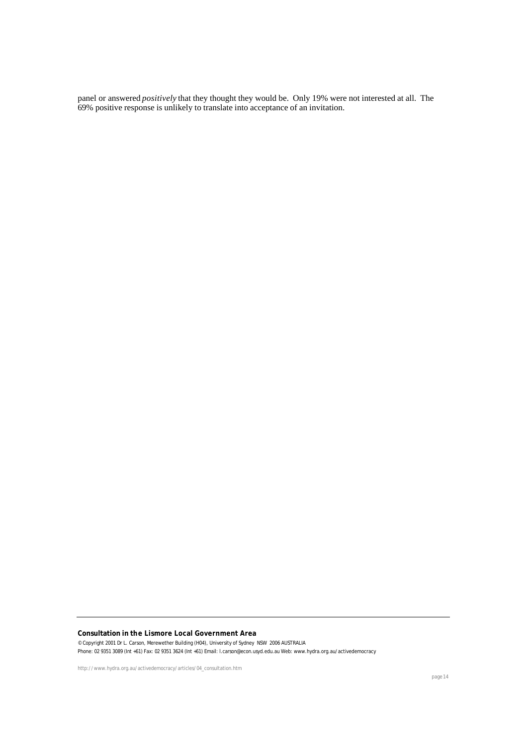panel or answered *positively* that they thought they would be. Only 19% were not interested at all. The 69% positive response is unlikely to translate into acceptance of an invitation.

# **Consultation in the Lismore Local Government Area**

© Copyright 2001 Dr L. Carson, Merewether Building (H04), University of Sydney NSW 2006 AUSTRALIA Phone: 02 9351 3089 (Int +61) Fax: 02 9351 3624 (Int +61) Email: l.carson@econ.usyd.edu.au Web: www.hydra.org.au/activedemocracy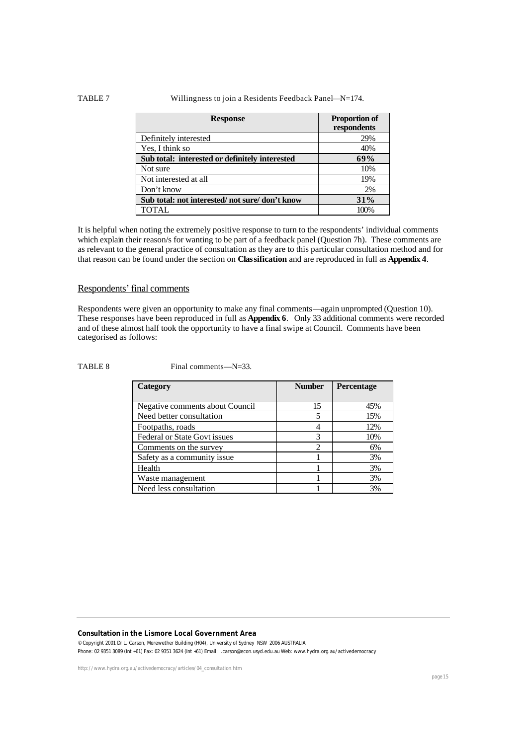## TABLE 7 Willingness to join a Residents Feedback Panel—N=174.

# **Response Proportion of respondents** Definitely interested 29% Yes, I think so 40% **Sub total: interested or definitely interested 69%** Not sure 10% Not interested at all 19% and 19% and 19% and 19% and 19% and 19% and 19% and 19% and 19% and 19% and 19% and 19% and 19% and 19% and 19% and 19% and 19% and 19% and 19% and 19% and 19% and 19% and 19% and 19% and 19% and Don't know **Sub total: not interested/ not sure/ don't know 31%** TOTAL 100%

It is helpful when noting the extremely positive response to turn to the respondents' individual comments which explain their reason/s for wanting to be part of a feedback panel (Question 7h). These comments are as relevant to the general practice of consultation as they are to this particular consultation method and for that reason can be found under the section on **Classification** and are reproduced in full as **Appendix 4**.

# Respondents' final comments

Respondents were given an opportunity to make any final comments—again unprompted (Question 10). These responses have been reproduced in full as **Appendix 6**. Only 33 additional comments were recorded and of these almost half took the opportunity to have a final swipe at Council. Comments have been categorised as follows:

TABLE 8 Final comments—N=33.

| Category                            | <b>Number</b> | <b>Percentage</b> |
|-------------------------------------|---------------|-------------------|
|                                     |               |                   |
| Negative comments about Council     | 15            | 45%               |
| Need better consultation            | 5             | 15%               |
| Footpaths, roads                    |               | 12%               |
| <b>Federal or State Govt issues</b> | 3             | 10%               |
| Comments on the survey              | ◠             | 6%                |
| Safety as a community issue         |               | 3%                |
| Health                              |               | 3%                |
| Waste management                    |               | 3%                |
| Need less consultation              |               | 3%                |
|                                     |               |                   |

## **Consultation in the Lismore Local Government Area**

© Copyright 2001 Dr L. Carson, Merewether Building (H04), University of Sydney NSW 2006 AUSTRALIA Phone: 02 9351 3089 (Int +61) Fax: 02 9351 3624 (Int +61) Email: l.carson@econ.usyd.edu.au Web: www.hydra.org.au/activedemocracy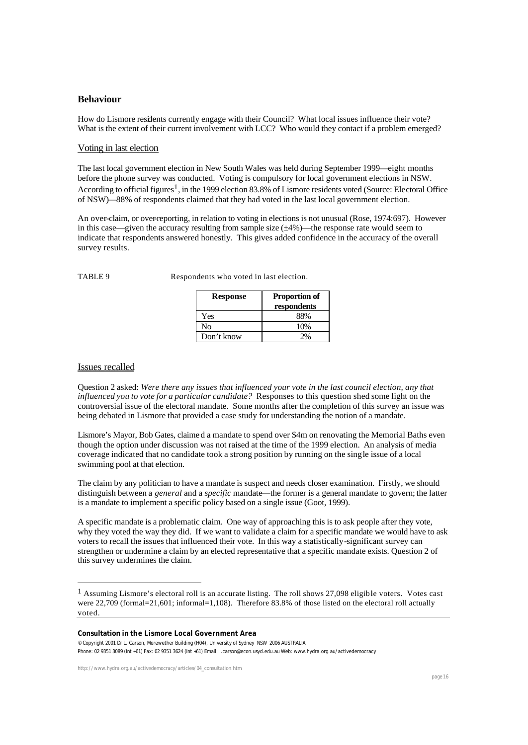# **Behaviour**

How do Lismore residents currently engage with their Council? What local issues influence their vote? What is the extent of their current involvement with LCC? Who would they contact if a problem emerged?

## Voting in last election

The last local government election in New South Wales was held during September 1999—eight months before the phone survey was conducted. Voting is compulsory for local government elections in NSW. According to official figures<sup>1</sup>, in the 1999 election 83.8% of Lismore residents voted (Source: Electoral Office of NSW)—88% of respondents claimed that they had voted in the last local government election.

An over-claim, or over-reporting, in relation to voting in elections is not unusual (Rose, 1974:697). However in this case—given the accuracy resulting from sample size  $(\pm 4%)$ —the response rate would seem to indicate that respondents answered honestly. This gives added confidence in the accuracy of the overall survey results.

| ABL. |  |
|------|--|
|------|--|

Respondents who voted in last election.

| <b>Response</b> | <b>Proportion of</b><br>respondents |
|-----------------|-------------------------------------|
| Yes             |                                     |
| Nο              | 10%                                 |
| Don't know      |                                     |

## Issues recalled

l

Question 2 asked: *Were there any issues that influenced your vote in the last council election, any that influenced you to vote for a particular candidate?* Responses to this question shed some light on the controversial issue of the electoral mandate. Some months after the completion of this survey an issue was being debated in Lismore that provided a case study for understanding the notion of a mandate.

Lismore's Mayor, Bob Gates, claime d a mandate to spend over \$4m on renovating the Memorial Baths even though the option under discussion was not raised at the time of the 1999 election. An analysis of media coverage indicated that no candidate took a strong position by running on the single issue of a local swimming pool at that election.

The claim by any politician to have a mandate is suspect and needs closer examination. Firstly, we should distinguish between a *general* and a *specific* mandate—the former is a general mandate to govern; the latter is a mandate to implement a specific policy based on a single issue (Goot, 1999).

A specific mandate is a problematic claim. One way of approaching this is to ask people after they vote, why they voted the way they did. If we want to validate a claim for a specific mandate we would have to ask voters to recall the issues that influenced their vote. In this way a statistically-significant survey can strengthen or undermine a claim by an elected representative that a specific mandate exists. Question 2 of this survey undermines the claim.

## **Consultation in the Lismore Local Government Area**

© Copyright 2001 Dr L. Carson, Merewether Building (H04), University of Sydney NSW 2006 AUSTRALIA Phone: 02 9351 3089 (Int +61) Fax: 02 9351 3624 (Int +61) Email: l.carson@econ.usyd.edu.au Web: www.hydra.org.au/activedemocracy

<sup>&</sup>lt;sup>1</sup> Assuming Lismore's electoral roll is an accurate listing. The roll shows 27,098 eligible voters. Votes cast were 22,709 (formal=21,601; informal=1,108). Therefore 83.8% of those listed on the electoral roll actually voted.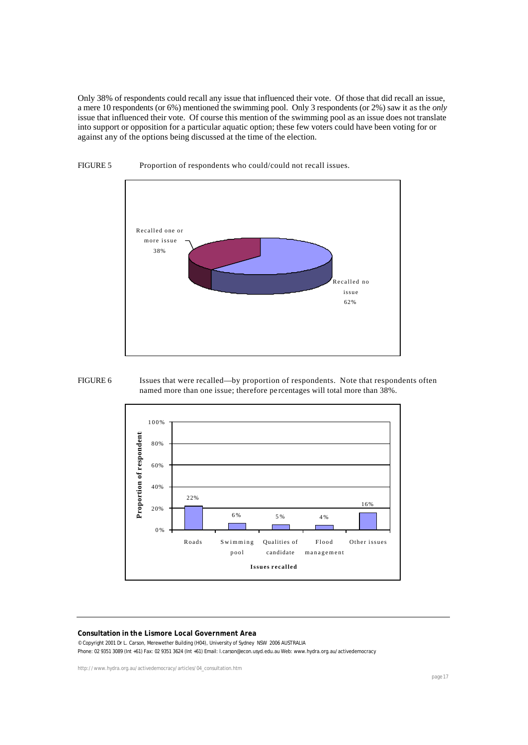Only 38% of respondents could recall any issue that influenced their vote. Of those that did recall an issue, a mere 10 respondents (or 6%) mentioned the swimming pool. Only 3 respondents (or 2%) saw it as the *only* issue that influenced their vote. Of course this mention of the swimming pool as an issue does not translate into support or opposition for a particular aquatic option; these few voters could have been voting for or against any of the options being discussed at the time of the election.



FIGURE 5 Proportion of respondents who could/could not recall issues.





## **Consultation in the Lismore Local Government Area**

© Copyright 2001 Dr L. Carson, Merewether Building (H04), University of Sydney NSW 2006 AUSTRALIA

Phone: 02 9351 3089 (Int +61) Fax: 02 9351 3624 (Int +61) Email: l.carson@econ.usyd.edu.au Web: www.hydra.org.au/activedemocracy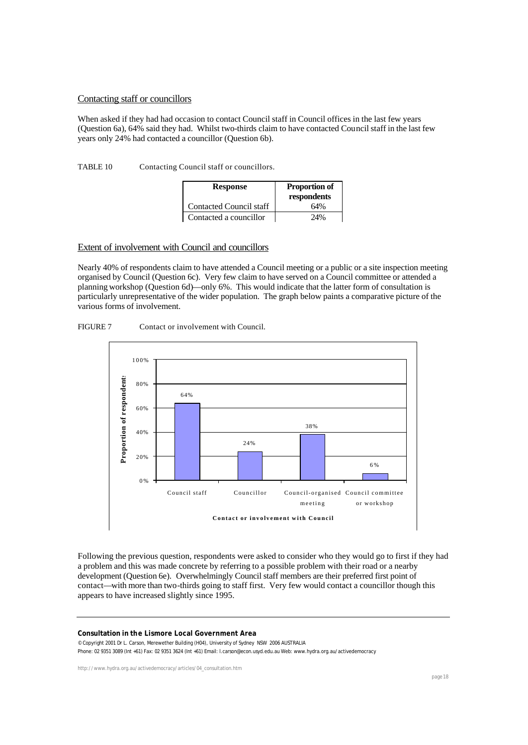# Contacting staff or councillors

When asked if they had had occasion to contact Council staff in Council offices in the last few years (Question 6a), 64% said they had. Whilst two-thirds claim to have contacted Council staff in the last few years only 24% had contacted a councillor (Question 6b).

TABLE 10 Contacting Council staff or councillors.

| <b>Response</b>                | <b>Proportion of</b><br>respondents |
|--------------------------------|-------------------------------------|
| <b>Contacted Council staff</b> | 64%                                 |
| Contacted a councillor         | 24%                                 |

# Extent of involvement with Council and councillors

Nearly 40% of respondents claim to have attended a Council meeting or a public or a site inspection meeting organised by Council (Question 6c). Very few claim to have served on a Council committee or attended a planning workshop (Question 6d)—only 6%. This would indicate that the latter form of consultation is particularly unrepresentative of the wider population. The graph below paints a comparative picture of the various forms of involvement.





Following the previous question, respondents were asked to consider who they would go to first if they had a problem and this was made concrete by referring to a possible problem with their road or a nearby development (Question 6e). Overwhelmingly Council staff members are their preferred first point of contact—with more than two-thirds going to staff first. Very few would contact a councillor though this appears to have increased slightly since 1995.

## **Consultation in the Lismore Local Government Area**

© Copyright 2001 Dr L. Carson, Merewether Building (H04), University of Sydney NSW 2006 AUSTRALIA Phone: 02 9351 3089 (Int +61) Fax: 02 9351 3624 (Int +61) Email: l.carson@econ.usyd.edu.au Web: www.hydra.org.au/activedemocracy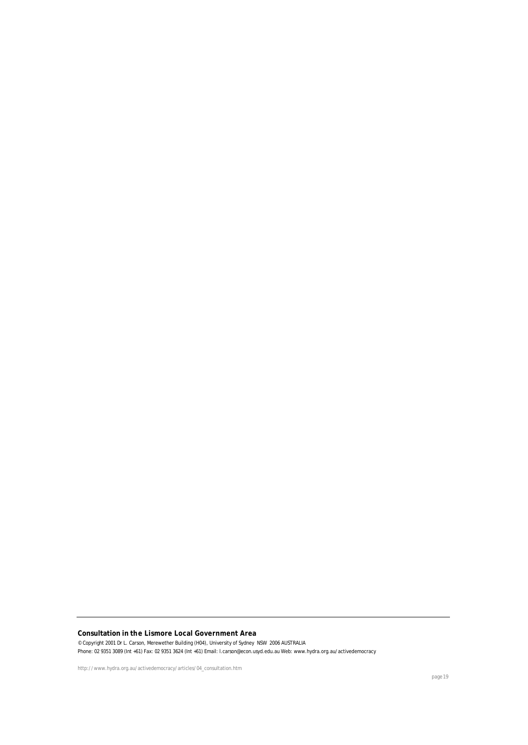# **Consultation in the Lismore Local Government Area**

© Copyright 2001 Dr L. Carson, Merewether Building (H04), University of Sydney NSW 2006 AUSTRALIA Phone: 02 9351 3089 (Int +61) Fax: 02 9351 3624 (Int +61) Email: l.carson@econ.usyd.edu.au Web: www.hydra.org.au/activedemocracy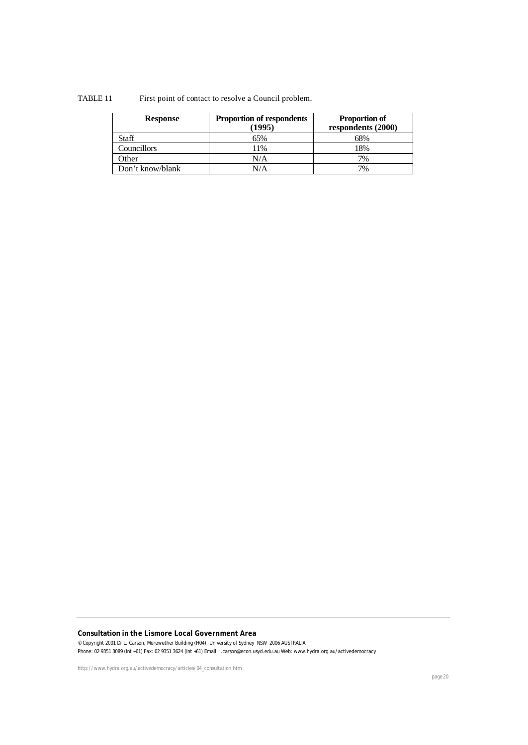# TABLE 11 First point of contact to resolve a Council problem.

| <b>Response</b>  | <b>Proportion of respondents</b><br>(1995) | <b>Proportion of</b><br>respondents (2000) |
|------------------|--------------------------------------------|--------------------------------------------|
| <b>Staff</b>     | 65%                                        | 68%                                        |
| Councillors      | 11%                                        | 18%                                        |
| Other            | N/A                                        | 7%                                         |
| Don't know/blank | N/A                                        | 7%                                         |

# **Consultation in the Lismore Local Government Area**

© Copyright 2001 Dr L. Carson, Merewether Building (H04), University of Sydney NSW 2006 AUSTRALIA Phone: 02 9351 3089 (Int +61) Fax: 02 9351 3624 (Int +61) Email: l.carson@econ.usyd.edu.au Web: www.hydra.org.au/activedemocracy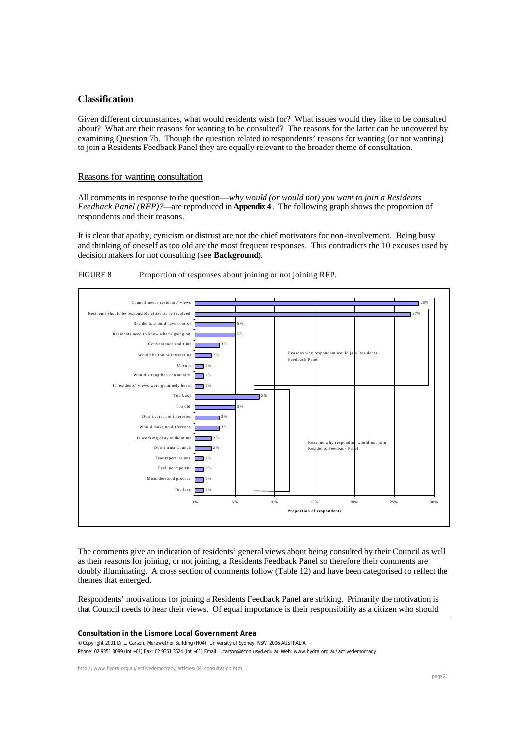# **Classification**

Given different circumstances, what would residents wish for? What issues would they like to be consulted about? What are their reasons for wanting to be consulted? The reasons for the latter can be uncovered by examining Question 7h. Though the question related to respondents' reasons for wanting (or not wanting) to join a Residents Feedback Panel they are equally relevant to the broader theme of consultation.

# Reasons for wanting consultation

All comments in response to the question—*why would (or would not) you want to join a Residents Feedback Panel (RFP)?*—are reproduced in **Appendix 4**. The following graph shows the proportion of respondents and their reasons.

It is clear that apathy, cynicism or distrust are not the chief motivators for non-involvement. Being busy and thinking of oneself as too old are the most frequent responses. This contradicts the 10 excuses used by decision makers for not consulting (see **Background**).



FIGURE 8 Proportion of responses about joining or not joining RFP.

The comments give an indication of residents' general views about being consulted by their Council as well as their reasons for joining, or not joining, a Residents Feedback Panel so therefore their comments are doubly illuminating. A cross section of comments follow (Table 12) and have been categorised to reflect the themes that emerged.

Respondents' motivations for joining a Residents Feedback Panel are striking. Primarily the motivation is that Council needs to hear their views. Of equal importance is their responsibility as a citizen who should

## **Consultation in the Lismore Local Government Area**

© Copyright 2001 Dr L. Carson, Merewether Building (H04), University of Sydney NSW 2006 AUSTRALIA Phone: 02 9351 3089 (Int +61) Fax: 02 9351 3624 (Int +61) Email: l.carson@econ.usyd.edu.au Web: www.hydra.org.au/activedemocracy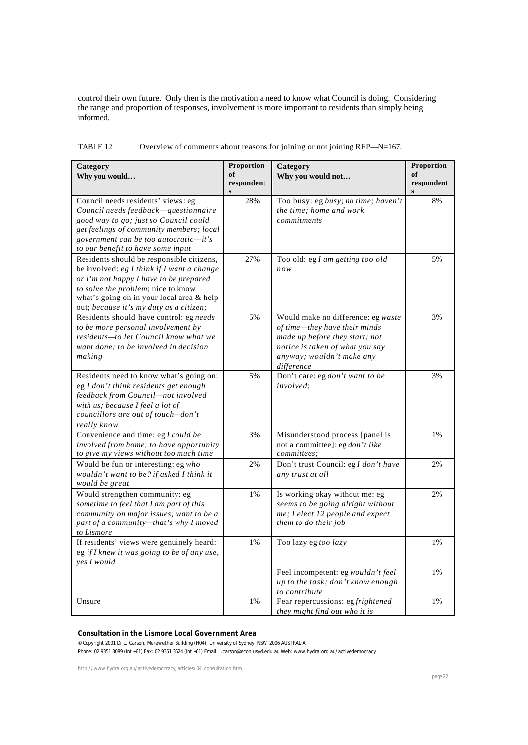control their own future. Only then is the motivation a need to know what Council is doing. Considering the range and proportion of responses, involvement is more important to residents than simply being informed.

| TABLE 12 |  | Overview of comments about reasons for joining or not joining $RFP-N=167$ . |  |  |  |  |
|----------|--|-----------------------------------------------------------------------------|--|--|--|--|
|----------|--|-----------------------------------------------------------------------------|--|--|--|--|

| Category<br>Why you would                                                                                                                                                                                                                                       | <b>Proportion</b><br>of    | Category<br>Why you would not                                                                                                                                                       | Proportion<br>of           |
|-----------------------------------------------------------------------------------------------------------------------------------------------------------------------------------------------------------------------------------------------------------------|----------------------------|-------------------------------------------------------------------------------------------------------------------------------------------------------------------------------------|----------------------------|
|                                                                                                                                                                                                                                                                 | respondent<br>$\mathbf{s}$ |                                                                                                                                                                                     | respondent<br>$\mathbf{s}$ |
| Council needs residents' views: eg<br>Council needs feedback-questionnaire<br>good way to go; just so Council could<br>get feelings of community members; local<br>government can be too autocratic—it's<br>to our benefit to have some input                   | 28%                        | Too busy: eg busy; no time; haven't<br>the time; home and work<br>commitments                                                                                                       | 8%                         |
| Residents should be responsible citizens,<br>be involved: eg I think if I want a change<br>or I'm not happy I have to be prepared<br>to solve the problem; nice to know<br>what's going on in your local area & help<br>out; because it's my duty as a citizen; | 27%                        | Too old: eg I am getting too old<br>now                                                                                                                                             | 5%                         |
| Residents should have control: eg needs<br>to be more personal involvement by<br>residents-to let Council know what we<br>want done; to be involved in decision<br>making                                                                                       | 5%                         | Would make no difference: eg waste<br>of time-they have their minds<br>made up before they start; not<br>notice is taken of what you say<br>anyway; wouldn't make any<br>difference | 3%                         |
| Residents need to know what's going on:<br>eg I don't think residents get enough<br>feedback from Council-not involved<br>with us; because I feel a lot of<br>councillors are out of touch-don't<br>really know                                                 | 5%                         | Don't care: eg don't want to be<br>involved:                                                                                                                                        | 3%                         |
| Convenience and time: eg I could be<br><i>involved from home; to have opportunity</i><br>to give my views without too much time                                                                                                                                 | 3%                         | Misunderstood process [panel is<br>not a committee]: eg <i>don't like</i><br>committees;                                                                                            | 1%                         |
| Would be fun or interesting: eg who<br>wouldn't want to be? if asked I think it<br>would be great                                                                                                                                                               | 2%                         | Don't trust Council: eg I don't have<br>any trust at all                                                                                                                            | 2%                         |
| Would strengthen community: eg<br>sometime to feel that I am part of this<br>community on major issues; want to be a<br>part of a community-that's why I moved<br>to Lismore                                                                                    | 1%                         | Is working okay without me: eg<br>seems to be going alright without<br>me; I elect 12 people and expect<br>them to do their job                                                     | 2%                         |
| If residents' views were genuinely heard:<br>eg if I knew it was going to be of any use,<br>yes I would                                                                                                                                                         | $1\%$                      | Too lazy eg too lazy                                                                                                                                                                | 1%                         |
|                                                                                                                                                                                                                                                                 |                            | Feel incompetent: eg wouldn't feel<br>up to the task; don't know enough<br>to contribute                                                                                            | 1%                         |
| Unsure                                                                                                                                                                                                                                                          | 1%                         | Fear repercussions: eg frightened<br>they might find out who it is                                                                                                                  | 1%                         |

# **Consultation in the Lismore Local Government Area**

© Copyright 2001 Dr L. Carson, Merewether Building (H04), University of Sydney NSW 2006 AUSTRALIA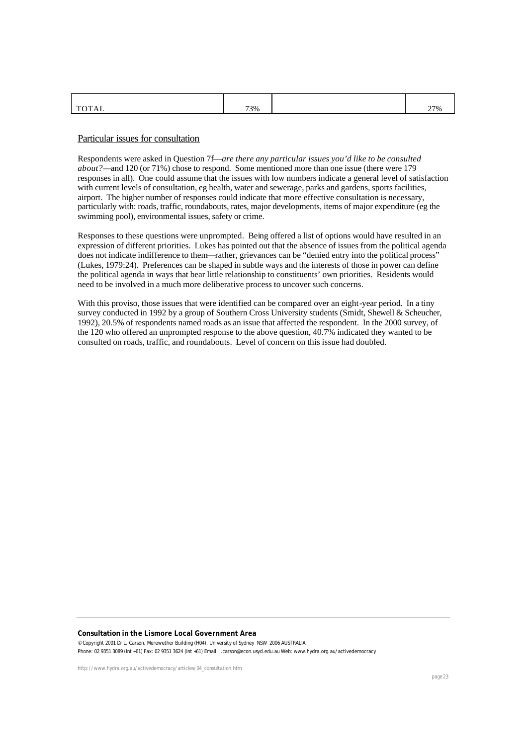| <b>TOTAL</b><br>Δ<br>, 171<br>1 V | 73% | 27%<br>$\sim$ 1 |
|-----------------------------------|-----|-----------------|

# Particular issues for consultation

Respondents were asked in Question 7f—*are there any particular issues you'd like to be consulted about?*—and 120 (or 71%) chose to respond. Some mentioned more than one issue (there were 179 responses in all). One could assume that the issues with low numbers indicate a general level of satisfaction with current levels of consultation, eg health, water and sewerage, parks and gardens, sports facilities, airport. The higher number of responses could indicate that more effective consultation is necessary, particularly with: roads, traffic, roundabouts, rates, major developments, items of major expenditure (eg the swimming pool), environmental issues, safety or crime.

Responses to these questions were unprompted. Being offered a list of options would have resulted in an expression of different priorities. Lukes has pointed out that the absence of issues from the political agenda does not indicate indifference to them—rather, grievances can be "denied entry into the political process" (Lukes, 1979:24). Preferences can be shaped in subtle ways and the interests of those in power can define the political agenda in ways that bear little relationship to constituents' own priorities. Residents would need to be involved in a much more deliberative process to uncover such concerns.

With this proviso, those issues that were identified can be compared over an eight-year period. In a tiny survey conducted in 1992 by a group of Southern Cross University students (Smidt, Shewell & Scheucher, 1992), 20.5% of respondents named roads as an issue that affected the respondent. In the 2000 survey, of the 120 who offered an unprompted response to the above question, 40.7% indicated they wanted to be consulted on roads, traffic, and roundabouts. Level of concern on this issue had doubled.

## **Consultation in the Lismore Local Government Area**

© Copyright 2001 Dr L. Carson, Merewether Building (H04), University of Sydney NSW 2006 AUSTRALIA Phone: 02 9351 3089 (Int +61) Fax: 02 9351 3624 (Int +61) Email: l.carson@econ.usyd.edu.au Web: www.hydra.org.au/activedemocracy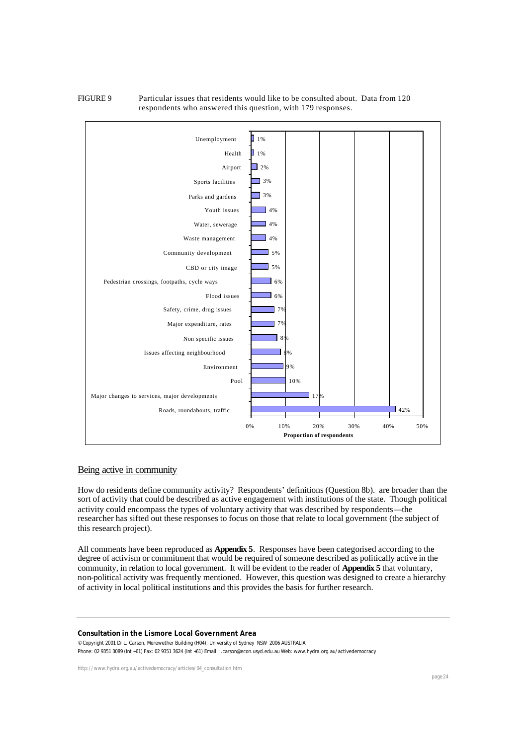

# FIGURE 9 Particular issues that residents would like to be consulted about. Data from 120 respondents who answered this question, with 179 responses.

# Being active in community

How do residents define community activity? Respondents' definitions (Question 8b). are broader than the sort of activity that could be described as active engagement with institutions of the state. Though political activity could encompass the types of voluntary activity that was described by respondents—the researcher has sifted out these responses to focus on those that relate to local government (the subject of this research project).

All comments have been reproduced as **Appendix 5**. Responses have been categorised according to the degree of activism or commitment that would be required of someone described as politically active in the community, in relation to local government. It will be evident to the reader of **Appendix 5** that voluntary, non-political activity was frequently mentioned. However, this question was designed to create a hierarchy of activity in local political institutions and this provides the basis for further research.

#### **Consultation in the Lismore Local Government Area**

© Copyright 2001 Dr L. Carson, Merewether Building (H04), University of Sydney NSW 2006 AUSTRALIA Phone: 02 9351 3089 (Int +61) Fax: 02 9351 3624 (Int +61) Email: l.carson@econ.usyd.edu.au Web: www.hydra.org.au/activedemocracy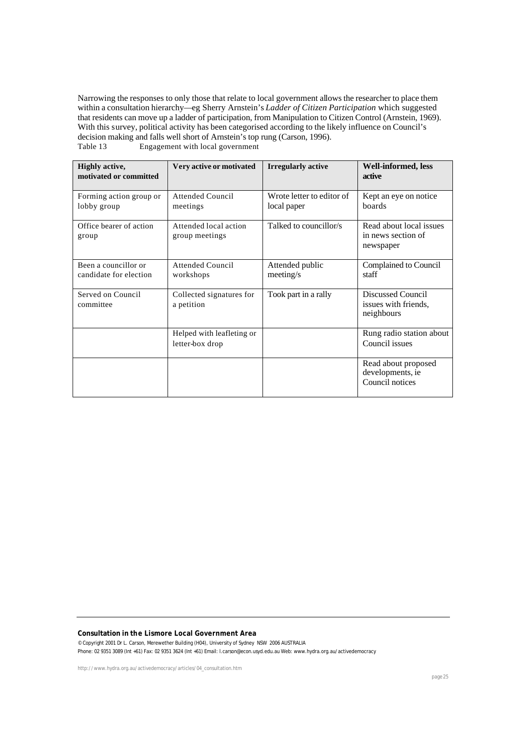Narrowing the responses to only those that relate to local government allows the researcher to place them within a consultation hierarchy—eg Sherry Arnstein's *Ladder of Citizen Participation* which suggested that residents can move up a ladder of participation, from Manipulation to Citizen Control (Arnstein, 1969). With this survey, political activity has been categorised according to the likely influence on Council's decision making and falls well short of Arnstein's top rung (Carson, 1996). Table 13 Engagement with local government

| <b>Highly active,</b><br>motivated or committed | Very active or motivated                     | <b>Irregularly active</b>                | Well-informed, less<br>active                              |
|-------------------------------------------------|----------------------------------------------|------------------------------------------|------------------------------------------------------------|
| Forming action group or<br>lobby group          | Attended Council<br>meetings                 | Wrote letter to editor of<br>local paper | Kept an eye on notice<br>boards                            |
| Office bearer of action<br>group                | Attended local action<br>group meetings      | Talked to councillor/s                   | Read about local issues<br>in news section of<br>newspaper |
| Been a councillor or<br>candidate for election  | Attended Council<br>workshops                | Attended public<br>meeting/s             | Complained to Council<br>staff                             |
| Served on Council<br>committee                  | Collected signatures for<br>a petition       | Took part in a rally                     | Discussed Council<br>issues with friends,<br>neighbours    |
|                                                 | Helped with leafleting or<br>letter-box drop |                                          | Rung radio station about<br>Council issues                 |
|                                                 |                                              |                                          | Read about proposed<br>developments, ie<br>Council notices |

# **Consultation in the Lismore Local Government Area**

© Copyright 2001 Dr L. Carson, Merewether Building (H04), University of Sydney NSW 2006 AUSTRALIA Phone: 02 9351 3089 (Int +61) Fax: 02 9351 3624 (Int +61) Email: l.carson@econ.usyd.edu.au Web: www.hydra.org.au/activedemocracy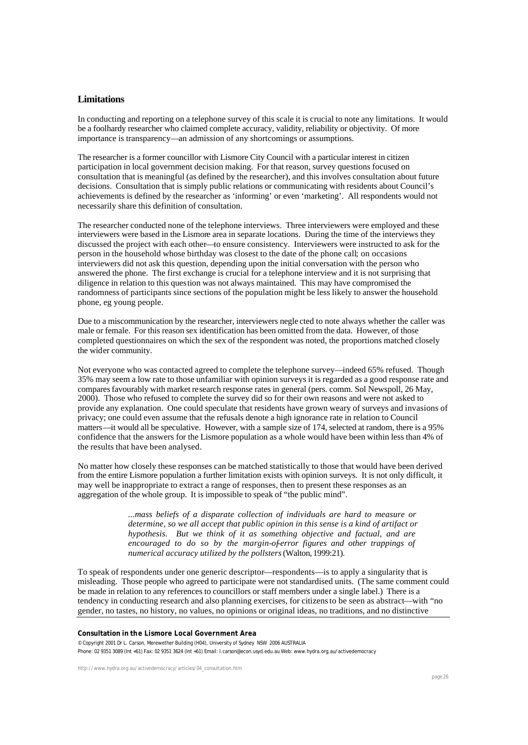# **Limitations**

In conducting and reporting on a telephone survey of this scale it is crucial to note any limitations. It would be a foolhardy researcher who claimed complete accuracy, validity, reliability or objectivity. Of more importance is transparency—an admission of any shortcomings or assumptions.

The researcher is a former councillor with Lismore City Council with a particular interest in citizen participation in local government decision making. For that reason, survey questions focused on consultation that is meaningful (as defined by the researcher), and this involves consultation about future decisions. Consultation that is simply public relations or communicating with residents about Council's achievements is defined by the researcher as 'informing' or even 'marketing'. All respondents would not necessarily share this definition of consultation.

The researcher conducted none of the telephone interviews. Three interviewers were employed and these interviewers were based in the Lismore area in separate locations. During the time of the interviews they discussed the project with each other—to ensure consistency. Interviewers were instructed to ask for the person in the household whose birthday was closest to the date of the phone call; on occasions interviewers did not ask this question, depending upon the initial conversation with the person who answered the phone. The first exchange is crucial for a telephone interview and it is not surprising that diligence in relation to this question was not always maintained. This may have compromised the randomness of participants since sections of the population might be less likely to answer the household phone, eg young people.

Due to a miscommunication by the researcher, interviewers negle cted to note always whether the caller was male or female. For this reason sex identification has been omitted from the data. However, of those completed questionnaires on which the sex of the respondent was noted, the proportions matched closely the wider community.

Not everyone who was contacted agreed to complete the telephone survey—indeed 65% refused. Though 35% may seem a low rate to those unfamiliar with opinion surveys it is regarded as a good response rate and compares favourably with market research response rates in general (pers. comm. Sol Newspoll, 26 May, 2000). Those who refused to complete the survey did so for their own reasons and were not asked to provide any explanation. One could speculate that residents have grown weary of surveys and invasions of privacy; one could even assume that the refusals denote a high ignorance rate in relation to Council matters—it would all be speculative. However, with a sample size of 174, selected at random, there is a 95% confidence that the answers for the Lismore population as a whole would have been within less than 4% of the results that have been analysed.

No matter how closely these responses can be matched statistically to those that would have been derived from the entire Lismore population a further limitation exists with opinion surveys. It is not only difficult, it may well be inappropriate to extract a range of responses, then to present these responses as an aggregation of the whole group. It is impossible to speak of "the public mind".

> *...mass beliefs of a disparate collection of individuals are hard to measure or determine, so we all accept that public opinion in this sense is a kind of artifact or hypothesis. But we think of it as something objective and factual, and are encouraged to do so by the margin-of-error figures and other trappings of numerical accuracy utilized by the pollsters* (Walton, 1999:21).

To speak of respondents under one generic descriptor—respondents—is to apply a singularity that is misleading. Those people who agreed to participate were not standardised units. (The same comment could be made in relation to any references to councillors or staff members under a single label.) There is a tendency in conducting research and also planning exercises, for citizens to be seen as abstract—with "no gender, no tastes, no history, no values, no opinions or original ideas, no traditions, and no distinctive

## **Consultation in the Lismore Local Government Area**

© Copyright 2001 Dr L. Carson, Merewether Building (H04), University of Sydney NSW 2006 AUSTRALIA Phone: 02 9351 3089 (Int +61) Fax: 02 9351 3624 (Int +61) Email: l.carson@econ.usyd.edu.au Web: www.hydra.org.au/activedemocracy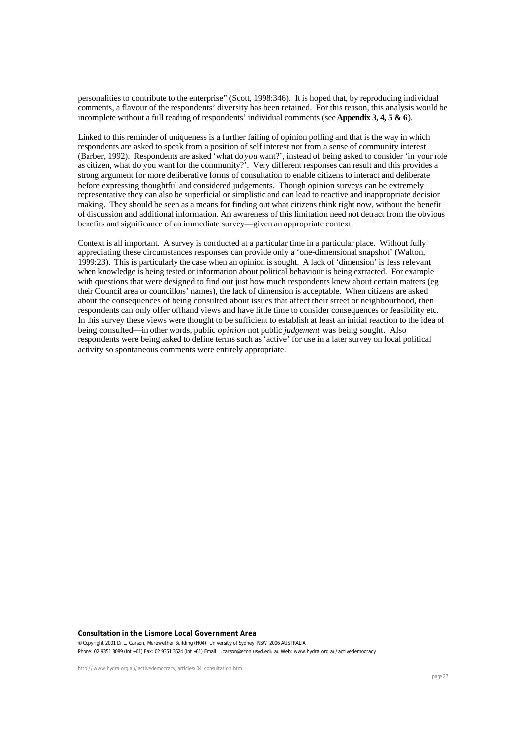personalities to contribute to the enterprise" (Scott, 1998:346). It is hoped that, by reproducing individual comments, a flavour of the respondents' diversity has been retained. For this reason, this analysis would be incomplete without a full reading of respondents' individual comments (see **Appendix 3, 4, 5 & 6**).

Linked to this reminder of uniqueness is a further failing of opinion polling and that is the way in which respondents are asked to speak from a position of self interest not from a sense of community interest (Barber, 1992). Respondents are asked 'what do *you* want?', instead of being asked to consider 'in your role as citizen, what do you want for the community?'. Very different responses can result and this provides a strong argument for more deliberative forms of consultation to enable citizens to interact and deliberate before expressing thoughtful and considered judgements. Though opinion surveys can be extremely representative they can also be superficial or simplistic and can lead to reactive and inappropriate decision making. They should be seen as a means for finding out what citizens think right now, without the benefit of discussion and additional information. An awareness of this limitation need not detract from the obvious benefits and significance of an immediate survey—given an appropriate context.

Context is all important. A survey is conducted at a particular time in a particular place. Without fully appreciating these circumstances responses can provide only a 'one-dimensional snapshot' (Walton, 1999:23). This is particularly the case when an opinion is sought. A lack of 'dimension' is less relevant when knowledge is being tested or information about political behaviour is being extracted. For example with questions that were designed to find out just how much respondents knew about certain matters (eg their Council area or councillors' names), the lack of dimension is acceptable. When citizens are asked about the consequences of being consulted about issues that affect their street or neighbourhood, then respondents can only offer offhand views and have little time to consider consequences or feasibility etc. In this survey these views were thought to be sufficient to establish at least an initial reaction to the idea of being consulted—in other words, public *opinion* not public *judgement* was being sought. Also respondents were being asked to define terms such as 'active' for use in a later survey on local political activity so spontaneous comments were entirely appropriate.

## **Consultation in the Lismore Local Government Area**

© Copyright 2001 Dr L. Carson, Merewether Building (H04), University of Sydney NSW 2006 AUSTRALIA Phone: 02 9351 3089 (Int +61) Fax: 02 9351 3624 (Int +61) Email: l.carson@econ.usyd.edu.au Web: www.hydra.org.au/activedemocracy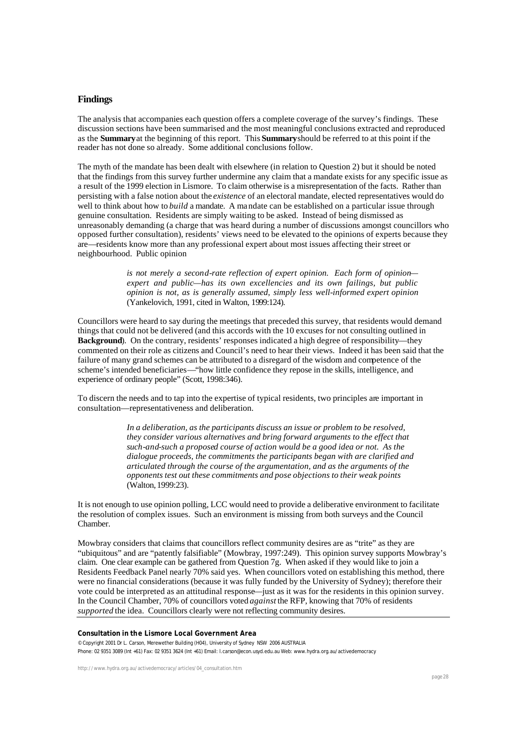# **Findings**

The analysis that accompanies each question offers a complete coverage of the survey's findings. These discussion sections have been summarised and the most meaningful conclusions extracted and reproduced as the **Summary** at the beginning of this report. This **Summary** should be referred to at this point if the reader has not done so already. Some additional conclusions follow.

The myth of the mandate has been dealt with elsewhere (in relation to Question 2) but it should be noted that the findings from this survey further undermine any claim that a mandate exists for any specific issue as a result of the 1999 election in Lismore. To claim otherwise is a misrepresentation of the facts. Rather than persisting with a false notion about the *existence* of an electoral mandate, elected representatives would do well to think about how to *build* a mandate. A ma ndate can be established on a particular issue through genuine consultation. Residents are simply waiting to be asked. Instead of being dismissed as unreasonably demanding (a charge that was heard during a number of discussions amongst councillors who opposed further consultation), residents' views need to be elevated to the opinions of experts because they are—residents know more than any professional expert about most issues affecting their street or neighbourhood. Public opinion

> *is not merely a second-rate reflection of expert opinion. Each form of opinion expert and public—has its own excellencies and its own failings, but public opinion is not, as is generally assumed, simply less well-informed expert opinion* (Yankelovich, 1991, cited in Walton, 1999:124).

Councillors were heard to say during the meetings that preceded this survey, that residents would demand things that could not be delivered (and this accords with the 10 excuses for not consulting outlined in **Background**). On the contrary, residents' responses indicated a high degree of responsibility—they commented on their role as citizens and Council's need to hear their views. Indeed it has been said that the failure of many grand schemes can be attributed to a disregard of the wisdom and competence of the scheme's intended beneficiaries—"how little confidence they repose in the skills, intelligence, and experience of ordinary people" (Scott, 1998:346).

To discern the needs and to tap into the expertise of typical residents, two principles are important in consultation—representativeness and deliberation.

> *In a deliberation, as the participants discuss an issue or problem to be resolved, they consider various alternatives and bring forward arguments to the effect that such-and-such a proposed course of action would be a good idea or not. As the dialogue proceeds, the commitments the participants began with are clarified and articulated through the course of the argumentation, and as the arguments of the opponents test out these commitments and pose objections to their weak points*  (Walton, 1999:23).

It is not enough to use opinion polling, LCC would need to provide a deliberative environment to facilitate the resolution of complex issues. Such an environment is missing from both surveys and the Council Chamber.

Mowbray considers that claims that councillors reflect community desires are as "trite" as they are "ubiquitous" and are "patently falsifiable" (Mowbray, 1997:249). This opinion survey supports Mowbray's claim. One clear example can be gathered from Question 7g. When asked if they would like to join a Residents Feedback Panel nearly 70% said yes. When councillors voted on establishing this method, there were no financial considerations (because it was fully funded by the University of Sydney); therefore their vote could be interpreted as an attitudinal response—just as it was for the residents in this opinion survey. In the Council Chamber, 70% of councillors voted *against* the RFP, knowing that 70% of residents *supported* the idea. Councillors clearly were not reflecting community desires.

## **Consultation in the Lismore Local Government Area**

© Copyright 2001 Dr L. Carson, Merewether Building (H04), University of Sydney NSW 2006 AUSTRALIA Phone: 02 9351 3089 (Int +61) Fax: 02 9351 3624 (Int +61) Email: l.carson@econ.usyd.edu.au Web: www.hydra.org.au/activedemocracy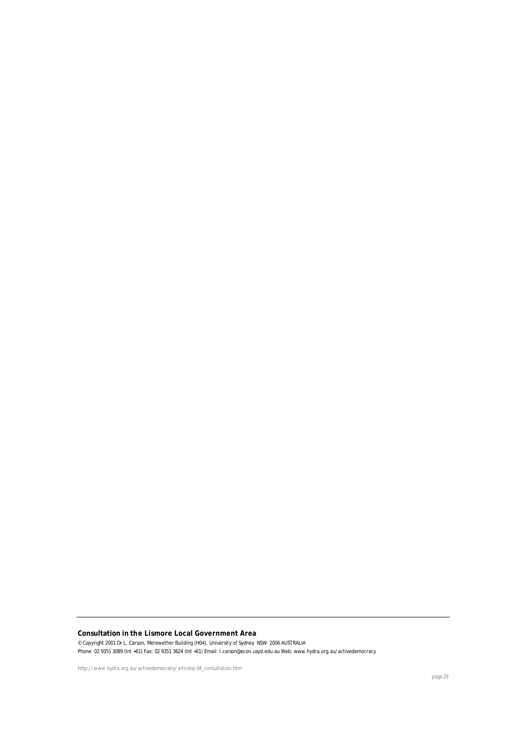# **Consultation in the Lismore Local Government Area**

© Copyright 2001 Dr L. Carson, Merewether Building (H04), University of Sydney NSW 2006 AUSTRALIA Phone: 02 9351 3089 (Int +61) Fax: 02 9351 3624 (Int +61) Email: l.carson@econ.usyd.edu.au Web: www.hydra.org.au/activedemocracy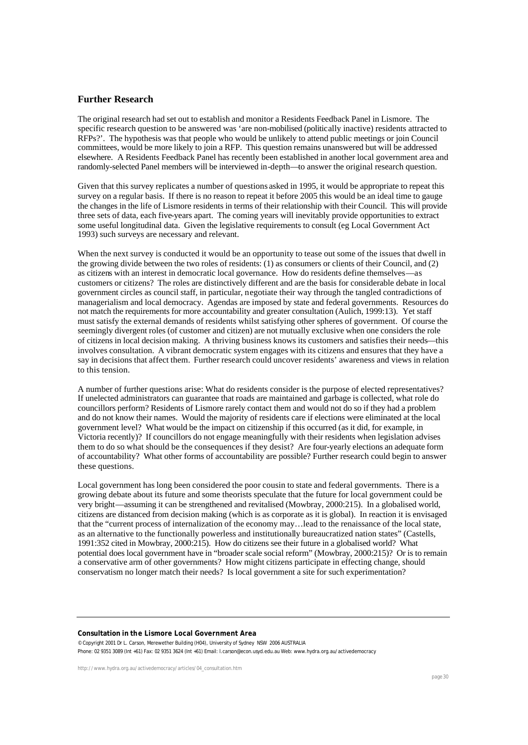# **Further Research**

The original research had set out to establish and monitor a Residents Feedback Panel in Lismore. The specific research question to be answered was 'are non-mobilised (politically inactive) residents attracted to RFPs?'. The hypothesis was that people who would be unlikely to attend public meetings or join Council committees, would be more likely to join a RFP. This question remains unanswered but will be addressed elsewhere. A Residents Feedback Panel has recently been established in another local government area and randomly-selected Panel members will be interviewed in-depth—to answer the original research question.

Given that this survey replicates a number of questions asked in 1995, it would be appropriate to repeat this survey on a regular basis. If there is no reason to repeat it before 2005 this would be an ideal time to gauge the changes in the life of Lismore residents in terms of their relationship with their Council. This will provide three sets of data, each five-years apart. The coming years will inevitably provide opportunities to extract some useful longitudinal data. Given the legislative requirements to consult (eg Local Government Act 1993) such surveys are necessary and relevant.

When the next survey is conducted it would be an opportunity to tease out some of the issues that dwell in the growing divide between the two roles of residents: (1) as consumers or clients of their Council, and (2) as citizens with an interest in democratic local governance. How do residents define themselves—as customers or citizens? The roles are distinctively different and are the basis for considerable debate in local government circles as council staff, in particular, negotiate their way through the tangled contradictions of managerialism and local democracy. Agendas are imposed by state and federal governments. Resources do not match the requirements for more accountability and greater consultation (Aulich, 1999:13). Yet staff must satisfy the external demands of residents whilst satisfying other spheres of government. Of course the seemingly divergent roles (of customer and citizen) are not mutually exclusive when one considers the role of citizens in local decision making. A thriving business knows its customers and satisfies their needs—this involves consultation. A vibrant democratic system engages with its citizens and ensures that they have a say in decisions that affect them. Further research could uncover residents' awareness and views in relation to this tension.

A number of further questions arise: What do residents consider is the purpose of elected representatives? If unelected administrators can guarantee that roads are maintained and garbage is collected, what role do councillors perform? Residents of Lismore rarely contact them and would not do so if they had a problem and do not know their names. Would the majority of residents care if elections were eliminated at the local government level? What would be the impact on citizenship if this occurred (as it did, for example, in Victoria recently)? If councillors do not engage meaningfully with their residents when legislation advises them to do so what should be the consequences if they desist? Are four-yearly elections an adequate form of accountability? What other forms of accountability are possible? Further research could begin to answer these questions.

Local government has long been considered the poor cousin to state and federal governments. There is a growing debate about its future and some theorists speculate that the future for local government could be very bright—assuming it can be strengthened and revitalised (Mowbray, 2000:215). In a globalised world, citizens are distanced from decision making (which is as corporate as it is global). In reaction it is envisaged that the "current process of internalization of the economy may…lead to the renaissance of the local state, as an alternative to the functionally powerless and institutionally bureaucratized nation states" (Castells, 1991:352 cited in Mowbray, 2000:215). How do citizens see their future in a globalised world? What potential does local government have in "broader scale social reform" (Mowbray, 2000:215)? Or is to remain a conservative arm of other governments? How might citizens participate in effecting change, should conservatism no longer match their needs? Is local government a site for such experimentation?

#### **Consultation in the Lismore Local Government Area**

© Copyright 2001 Dr L. Carson, Merewether Building (H04), University of Sydney NSW 2006 AUSTRALIA Phone: 02 9351 3089 (Int +61) Fax: 02 9351 3624 (Int +61) Email: l.carson@econ.usyd.edu.au Web: www.hydra.org.au/activedemocracy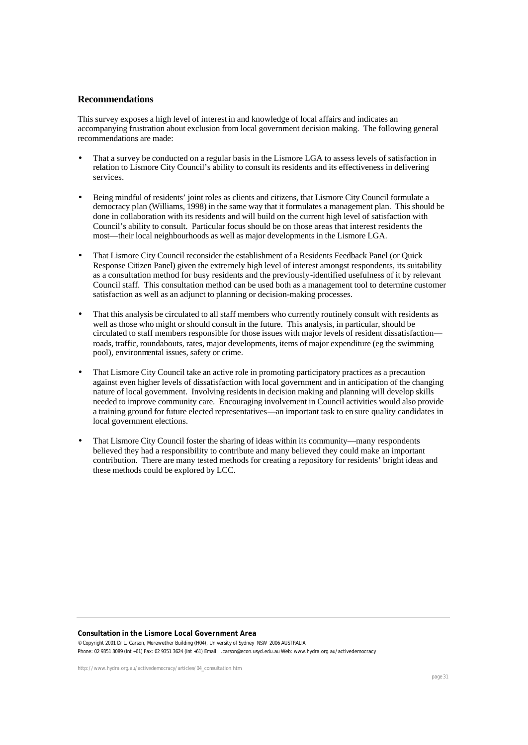# **Recommendations**

This survey exposes a high level of interest in and knowledge of local affairs and indicates an accompanying frustration about exclusion from local government decision making. The following general recommendations are made:

- That a survey be conducted on a regular basis in the Lismore LGA to assess levels of satisfaction in relation to Lismore City Council's ability to consult its residents and its effectiveness in delivering services.
- Being mindful of residents' joint roles as clients and citizens, that Lismore City Council formulate a democracy plan (Williams, 1998) in the same way that it formulates a management plan. This should be done in collaboration with its residents and will build on the current high level of satisfaction with Council's ability to consult. Particular focus should be on those areas that interest residents the most—their local neighbourhoods as well as major developments in the Lismore LGA.
- That Lismore City Council reconsider the establishment of a Residents Feedback Panel (or Quick Response Citizen Panel) given the extremely high level of interest amongst respondents, its suitability as a consultation method for busy residents and the previously-identified usefulness of it by relevant Council staff. This consultation method can be used both as a management tool to determine customer satisfaction as well as an adjunct to planning or decision-making processes.
- That this analysis be circulated to all staff members who currently routinely consult with residents as well as those who might or should consult in the future. This analysis, in particular, should be circulated to staff members responsible for those issues with major levels of resident dissatisfaction roads, traffic, roundabouts, rates, major developments, items of major expenditure (eg the swimming pool), environmental issues, safety or crime.
- That Lismore City Council take an active role in promoting participatory practices as a precaution against even higher levels of dissatisfaction with local government and in anticipation of the changing nature of local government. Involving residents in decision making and planning will develop skills needed to improve community care. Encouraging involvement in Council activities would also provide a training ground for future elected representatives—an important task to en sure quality candidates in local government elections.
- That Lismore City Council foster the sharing of ideas within its community—many respondents believed they had a responsibility to contribute and many believed they could make an important contribution. There are many tested methods for creating a repository for residents' bright ideas and these methods could be explored by LCC.

## **Consultation in the Lismore Local Government Area**

© Copyright 2001 Dr L. Carson, Merewether Building (H04), University of Sydney NSW 2006 AUSTRALIA Phone: 02 9351 3089 (Int +61) Fax: 02 9351 3624 (Int +61) Email: l.carson@econ.usyd.edu.au Web: www.hydra.org.au/activedemocracy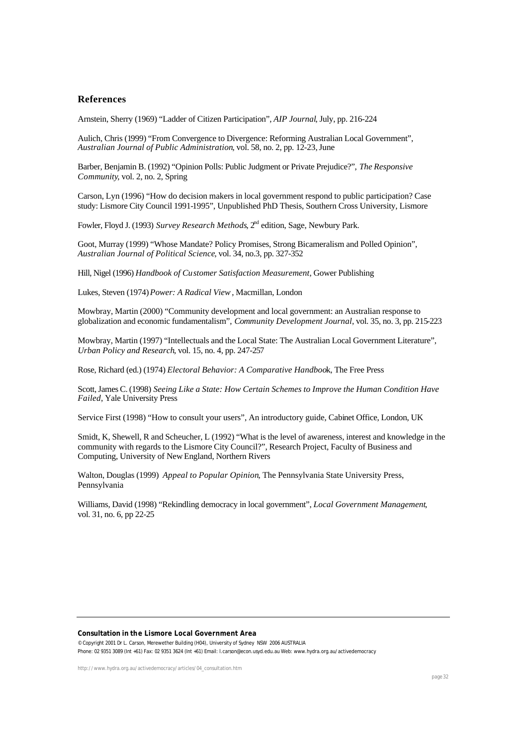# **References**

Arnstein, Sherry (1969) "Ladder of Citizen Participation", *AIP Journal*, July, pp. 216-224

Aulich, Chris (1999) "From Convergence to Divergence: Reforming Australian Local Government", *Australian Journal of Public Administration*, vol. 58, no. 2, pp. 12-23, June

Barber, Benjamin B. (1992) "Opinion Polls: Public Judgment or Private Prejudice?", *The Responsive Community*, vol. 2, no. 2, Spring

Carson, Lyn (1996) "How do decision makers in local government respond to public participation? Case study: Lismore City Council 1991-1995", Unpublished PhD Thesis, Southern Cross University, Lismore

Fowler, Floyd J. (1993) *Survey Research Methods*, 2<sup>nd</sup> edition, Sage, Newbury Park.

Goot, Murray (1999) "Whose Mandate? Policy Promises, Strong Bicameralism and Polled Opinion", *Australian Journal of Political Science*, vol. 34, no.3, pp. 327-352

Hill, Nigel (1996) *Handbook of Customer Satisfaction Measurement*, Gower Publishing

Lukes, Steven (1974) *Power: A Radical View*, Macmillan, London

Mowbray, Martin (2000) "Community development and local government: an Australian response to globalization and economic fundamentalism", *Community Development Journal*, vol. 35, no. 3, pp. 215-223

Mowbray, Martin (1997) "Intellectuals and the Local State: The Australian Local Government Literature", *Urban Policy and Research*, vol. 15, no. 4, pp. 247-257

Rose, Richard (ed.) (1974) *Electoral Behavior: A Comparative Handboo*k, The Free Press

Scott, James C. (1998) *Seeing Like a State: How Certain Schemes to Improve the Human Condition Have Failed*, Yale University Press

Service First (1998) "How to consult your users", An introductory guide, Cabinet Office, London, UK

Smidt, K, Shewell, R and Scheucher, L (1992) "What is the level of awareness, interest and knowledge in the community with regards to the Lismore City Council?", Research Project, Faculty of Business and Computing, University of New England, Northern Rivers

Walton, Douglas (1999) *Appeal to Popular Opinion*, The Pennsylvania State University Press, Pennsylvania

Williams, David (1998) "Rekindling democracy in local government", *Local Government Management*, vol. 31, no. 6, pp 22-25

## **Consultation in the Lismore Local Government Area**

© Copyright 2001 Dr L. Carson, Merewether Building (H04), University of Sydney NSW 2006 AUSTRALIA Phone: 02 9351 3089 (Int +61) Fax: 02 9351 3624 (Int +61) Email: l.carson@econ.usyd.edu.au Web: www.hydra.org.au/activedemocracy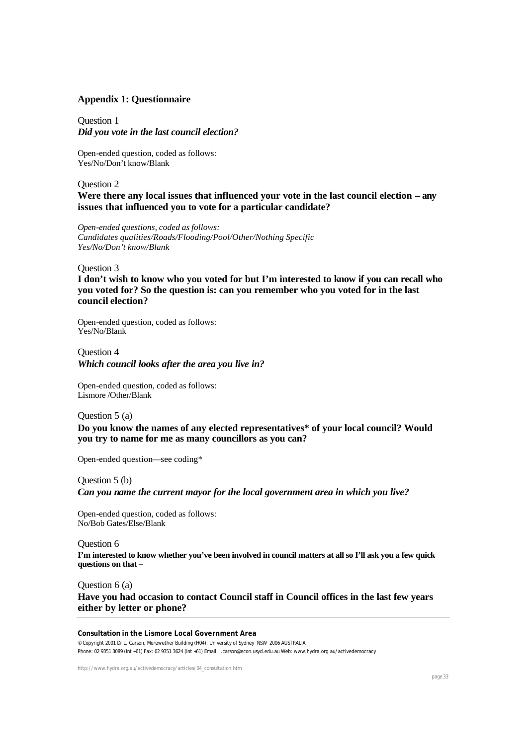# **Appendix 1: Questionnaire**

Question 1 *Did you vote in the last council election?*

Open-ended question, coded as follows: Yes/No/Don't know/Blank

Question 2

**Were there any local issues that influenced your vote in the last council election – any issues that influenced you to vote for a particular candidate?**

*Open-ended questions, coded as follows: Candidates qualities/Roads/Flooding/Pool/Other/Nothing Specific Yes/No/Don't know/Blank*

Question 3

**I don't wish to know who you voted for but I'm interested to know if you can recall who you voted for? So the question is: can you remember who you voted for in the last council election?**

Open-ended question, coded as follows: Yes/No/Blank

# Question 4 *Which council looks after the area you live in?*

Open-ended question, coded as follows: Lismore /Other/Blank

# Question 5 (a)

**Do you know the names of any elected representatives\* of your local council? Would you try to name for me as many councillors as you can?**

Open-ended question—see coding\*

Question 5 (b)

*Can you name the current mayor for the local government area in which you live?*

Open-ended question, coded as follows: No/Bob Gates/Else/Blank

## Question 6

**I'm interested to know whether you've been involved in council matters at all so I'll ask you a few quick questions on that –**

Question 6 (a) **Have you had occasion to contact Council staff in Council offices in the last few years either by letter or phone?**

## **Consultation in the Lismore Local Government Area**

© Copyright 2001 Dr L. Carson, Merewether Building (H04), University of Sydney NSW 2006 AUSTRALIA Phone: 02 9351 3089 (Int +61) Fax: 02 9351 3624 (Int +61) Email: l.carson@econ.usyd.edu.au Web: www.hydra.org.au/activedemocracy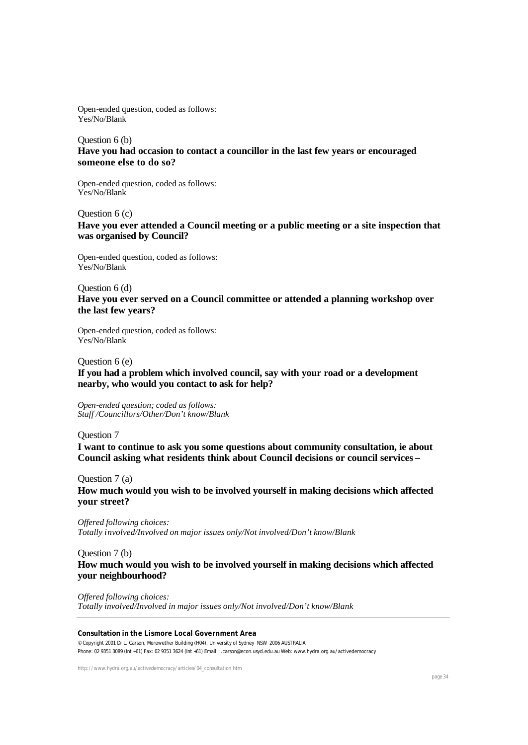Open-ended question, coded as follows: Yes/No/Blank

# Question 6 (b) **Have you had occasion to contact a councillor in the last few years or encouraged someone else to do so?**

Open-ended question, coded as follows: Yes/No/Blank

# Question 6 (c)

# **Have you ever attended a Council meeting or a public meeting or a site inspection that was organised by Council?**

Open-ended question, coded as follows: Yes/No/Blank

Question 6 (d) **Have you ever served on a Council committee or attended a planning workshop over the last few years?**

Open-ended question, coded as follows: Yes/No/Blank

Question 6 (e)

**If you had a problem which involved council, say with your road or a development nearby, who would you contact to ask for help?**

*Open-ended question; coded as follows: Staff /Councillors/Other/Don't know/Blank*

Question 7

**I want to continue to ask you some questions about community consultation, ie about Council asking what residents think about Council decisions or council services –**

Question 7 (a) **How much would you wish to be involved yourself in making decisions which affected your street?**

*Offered following choices: Totally involved/Involved on major issues only/Not involved/Don't know/Blank*

# Question 7 (b) **How much would you wish to be involved yourself in making decisions which affected your neighbourhood?**

*Offered following choices: Totally involved/Involved in major issues only/Not involved/Don't know/Blank*

## **Consultation in the Lismore Local Government Area**

© Copyright 2001 Dr L. Carson, Merewether Building (H04), University of Sydney NSW 2006 AUSTRALIA Phone: 02 9351 3089 (Int +61) Fax: 02 9351 3624 (Int +61) Email: l.carson@econ.usyd.edu.au Web: www.hydra.org.au/activedemocracy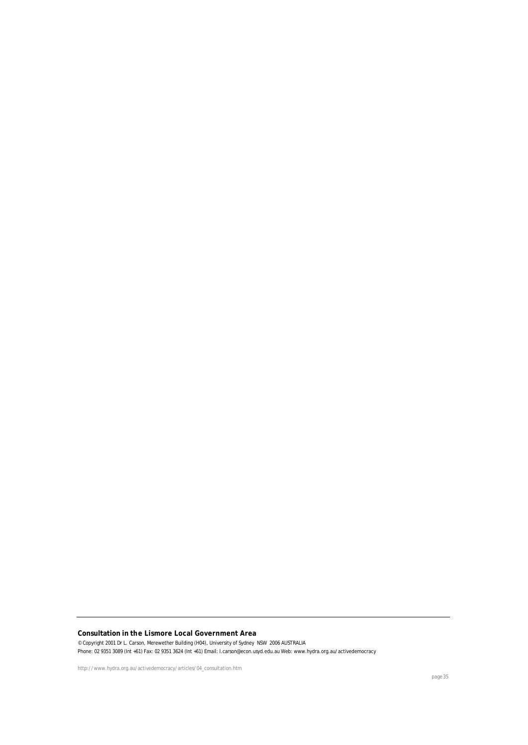# **Consultation in the Lismore Local Government Area**

© Copyright 2001 Dr L. Carson, Merewether Building (H04), University of Sydney NSW 2006 AUSTRALIA Phone: 02 9351 3089 (Int +61) Fax: 02 9351 3624 (Int +61) Email: l.carson@econ.usyd.edu.au Web: www.hydra.org.au/activedemocracy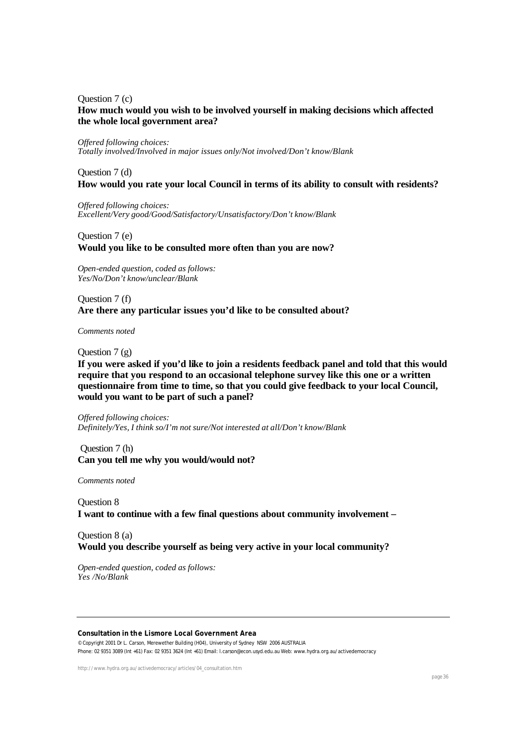# Question 7 (c) **How much would you wish to be involved yourself in making decisions which affected the whole local government area?**

*Offered following choices: Totally involved/Involved in major issues only/Not involved/Don't know/Blank*

# Question 7 (d)

# **How would you rate your local Council in terms of its ability to consult with residents?**

*Offered following choices: Excellent/Very good/Good/Satisfactory/Unsatisfactory/Don't know/Blank*

# Question 7 (e)

**Would you like to be consulted more often than you are now?**

*Open-ended question, coded as follows: Yes/No/Don't know/unclear/Blank*

Question 7 (f) **Are there any particular issues you'd like to be consulted about?**

*Comments noted*

Ouestion  $7$  (g)

**If you were asked if you'd like to join a residents feedback panel and told that this would require that you respond to an occasional telephone survey like this one or a written questionnaire from time to time, so that you could give feedback to your local Council, would you want to be part of such a panel?**

*Offered following choices: Definitely/Yes, I think so/I'm not sure/Not interested at all/Don't know/Blank*

 Question 7 (h) **Can you tell me why you would/would not?**

*Comments noted*

Question 8 **I want to continue with a few final questions about community involvement –**

Question 8 (a) **Would you describe yourself as being very active in your local community?**

*Open-ended question, coded as follows: Yes /No/Blank* 

## **Consultation in the Lismore Local Government Area**

© Copyright 2001 Dr L. Carson, Merewether Building (H04), University of Sydney NSW 2006 AUSTRALIA Phone: 02 9351 3089 (Int +61) Fax: 02 9351 3624 (Int +61) Email: l.carson@econ.usyd.edu.au Web: www.hydra.org.au/activedemocracy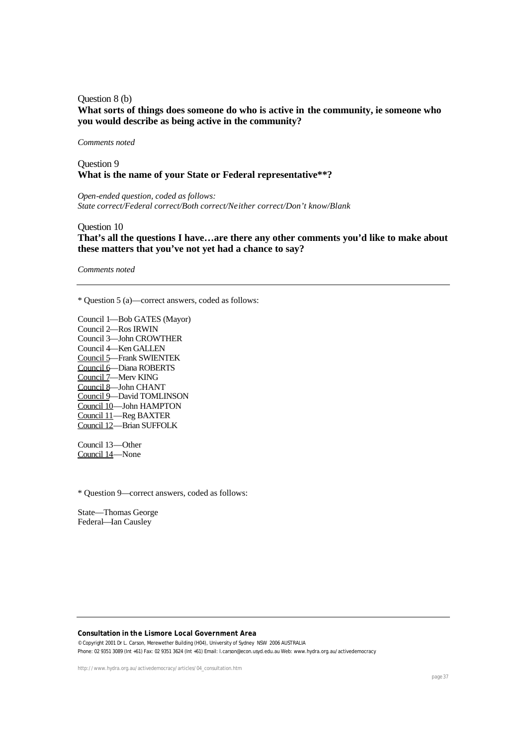# Question 8 (b) **What sorts of things does someone do who is active in the community, ie someone who you would describe as being active in the community?**

*Comments noted*

# Question 9 **What is the name of your State or Federal representative\*\*?**

*Open-ended question, coded as follows: State correct/Federal correct/Both correct/Neither correct/Don't know/Blank* 

Question 10

**That's all the questions I have…are there any other comments you'd like to make about these matters that you've not yet had a chance to say?**

*Comments noted*

\* Question 5 (a)—correct answers, coded as follows:

Council 1—Bob GATES (Mayor) Council 2—Ros IRWIN Council 3—John CROWTHER Council 4—Ken GALLEN Council 5—Frank SWIENTEK Council 6—Diana ROBERTS Council 7—Merv KING Council 8—John CHANT Council 9—David TOMLINSON Council 10—John HAMPTON Council 11—Reg BAXTER Council 12—Brian SUFFOLK

Council 13—Other Council 14—None

\* Question 9—correct answers, coded as follows:

State—Thomas George Federal—Ian Causley

## **Consultation in the Lismore Local Government Area**

© Copyright 2001 Dr L. Carson, Merewether Building (H04), University of Sydney NSW 2006 AUSTRALIA Phone: 02 9351 3089 (Int +61) Fax: 02 9351 3624 (Int +61) Email: l.carson@econ.usyd.edu.au Web: www.hydra.org.au/activedemocracy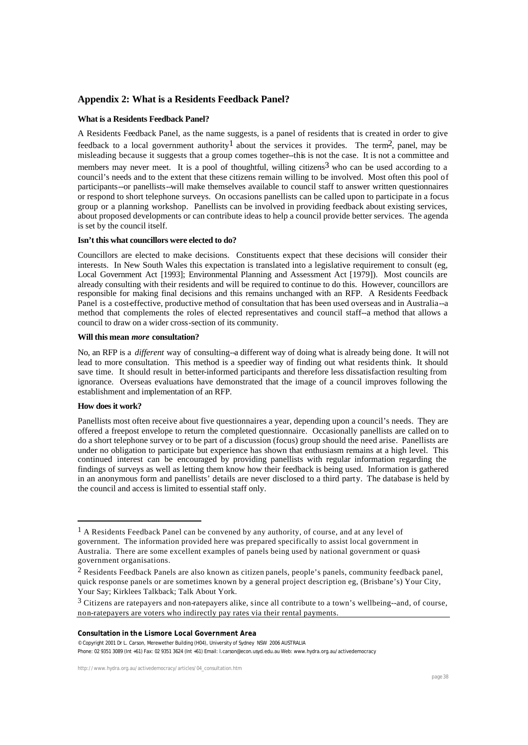# **Appendix 2: What is a Residents Feedback Panel?**

## **What is a Residents Feedback Panel?**

A Residents Feedback Panel, as the name suggests, is a panel of residents that is created in order to give feedback to a local government authority<sup>1</sup> about the services it provides. The term<sup>2</sup>, panel, may be misleading because it suggests that a group comes together--this is not the case. It is not a committee and members may never meet. It is a pool of thoughtful, willing citizens<sup>3</sup> who can be used according to a council's needs and to the extent that these citizens remain willing to be involved. Most often this pool of participants--or panellists--will make themselves available to council staff to answer written questionnaires or respond to short telephone surveys. On occasions panellists can be called upon to participate in a focus group or a planning workshop. Panellists can be involved in providing feedback about existing services, about proposed developments or can contribute ideas to help a council provide better services. The agenda is set by the council itself.

# **Isn't this what councillors were elected to do?**

Councillors are elected to make decisions. Constituents expect that these decisions will consider their interests. In New South Wales this expectation is translated into a legislative requirement to consult (eg, Local Government Act [1993]; Environmental Planning and Assessment Act [1979]). Most councils are already consulting with their residents and will be required to continue to do this. However, councillors are responsible for making final decisions and this remains unchanged with an RFP. A Residents Feedback Panel is a cost-effective, productive method of consultation that has been used overseas and in Australia--a method that complements the roles of elected representatives and council staff--a method that allows a council to draw on a wider cross-section of its community.

## **Will this mean** *more* **consultation?**

No, an RFP is a *different* way of consulting--a different way of doing what is already being done. It will not lead to more consultation. This method is a speedier way of finding out what residents think. It should save time. It should result in better-informed participants and therefore less dissatisfaction resulting from ignorance. Overseas evaluations have demonstrated that the image of a council improves following the establishment and implementation of an RFP.

# **How does it work?**

 $\overline{a}$ 

Panellists most often receive about five questionnaires a year, depending upon a council's needs. They are offered a freepost envelope to return the completed questionnaire. Occasionally panellists are called on to do a short telephone survey or to be part of a discussion (focus) group should the need arise. Panellists are under no obligation to participate but experience has shown that enthusiasm remains at a high level. This continued interest can be encouraged by providing panellists with regular information regarding the findings of surveys as well as letting them know how their feedback is being used. Information is gathered in an anonymous form and panellists' details are never disclosed to a third party. The database is held by the council and access is limited to essential staff only.

## **Consultation in the Lismore Local Government Area**

© Copyright 2001 Dr L. Carson, Merewether Building (H04), University of Sydney NSW 2006 AUSTRALIA Phone: 02 9351 3089 (Int +61) Fax: 02 9351 3624 (Int +61) Email: l.carson@econ.usyd.edu.au Web: www.hydra.org.au/activedemocracy

<sup>1</sup> A Residents Feedback Panel can be convened by any authority, of course, and at any level of government. The information provided here was prepared specifically to assist local government in Australia. There are some excellent examples of panels being used by national government or quasigovernment organisations.

<sup>2</sup> Residents Feedback Panels are also known as citizen panels, people's panels, community feedback panel, quick response panels or are sometimes known by a general project description eg, (Brisbane's) Your City, Your Say; Kirklees Talkback; Talk About York.

<sup>3</sup> Citizens are ratepayers and non-ratepayers alike, since all contribute to a town's wellbeing--and, of course, non-ratepayers are voters who indirectly pay rates via their rental payments.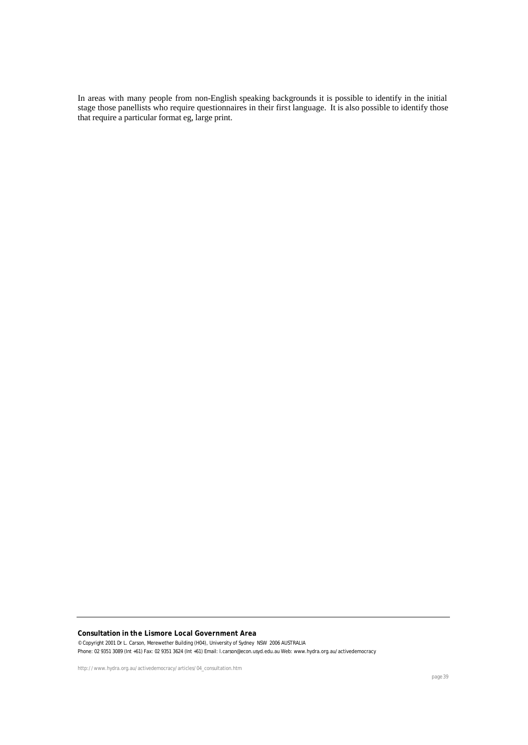In areas with many people from non-English speaking backgrounds it is possible to identify in the initial stage those panellists who require questionnaires in their first language. It is also possible to identify those that require a particular format eg, large print.

# **Consultation in the Lismore Local Government Area**

© Copyright 2001 Dr L. Carson, Merewether Building (H04), University of Sydney NSW 2006 AUSTRALIA Phone: 02 9351 3089 (Int +61) Fax: 02 9351 3624 (Int +61) Email: l.carson@econ.usyd.edu.au Web: www.hydra.org.au/activedemocracy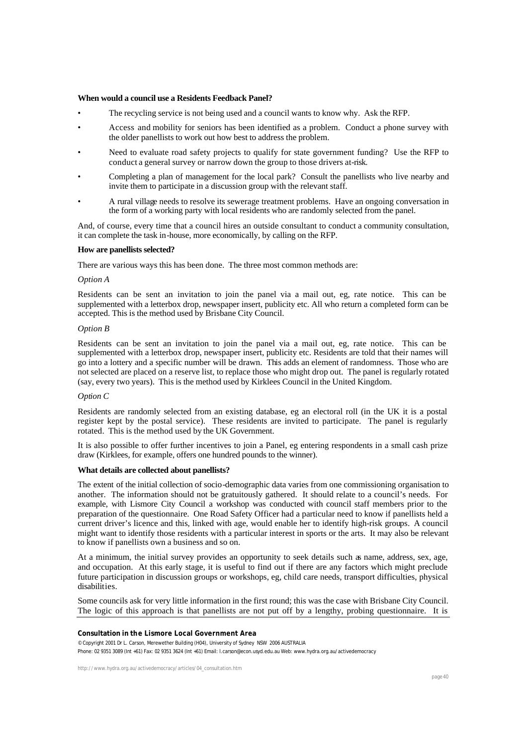## **When would a council use a Residents Feedback Panel?**

- The recycling service is not being used and a council wants to know why. Ask the RFP.
- Access and mobility for seniors has been identified as a problem. Conduct a phone survey with the older panellists to work out how best to address the problem.
- Need to evaluate road safety projects to qualify for state government funding? Use the RFP to conduct a general survey or narrow down the group to those drivers at-risk.
- Completing a plan of management for the local park? Consult the panellists who live nearby and invite them to participate in a discussion group with the relevant staff.
- A rural village needs to resolve its sewerage treatment problems. Have an ongoing conversation in the form of a working party with local residents who are randomly selected from the panel.

And, of course, every time that a council hires an outside consultant to conduct a community consultation, it can complete the task in-house, more economically, by calling on the RFP.

## **How are panellists selected?**

There are various ways this has been done. The three most common methods are:

## *Option A*

Residents can be sent an invitation to join the panel via a mail out, eg, rate notice. This can be supplemented with a letterbox drop, newspaper insert, publicity etc. All who return a completed form can be accepted. This is the method used by Brisbane City Council.

# *Option B*

Residents can be sent an invitation to join the panel via a mail out, eg, rate notice. This can be supplemented with a letterbox drop, newspaper insert, publicity etc. Residents are told that their names will go into a lottery and a specific number will be drawn. This adds an element of randomness. Those who are not selected are placed on a reserve list, to replace those who might drop out. The panel is regularly rotated (say, every two years). This is the method used by Kirklees Council in the United Kingdom.

## *Option C*

Residents are randomly selected from an existing database, eg an electoral roll (in the UK it is a postal register kept by the postal service). These residents are invited to participate. The panel is regularly rotated. This is the method used by the UK Government.

It is also possible to offer further incentives to join a Panel, eg entering respondents in a small cash prize draw (Kirklees, for example, offers one hundred pounds to the winner).

# **What details are collected about panellists?**

The extent of the initial collection of socio-demographic data varies from one commissioning organisation to another. The information should not be gratuitously gathered. It should relate to a council's needs. For example, with Lismore City Council a workshop was conducted with council staff members prior to the preparation of the questionnaire. One Road Safety Officer had a particular need to know if panellists held a current driver's licence and this, linked with age, would enable her to identify high-risk groups. A council might want to identify those residents with a particular interest in sports or the arts. It may also be relevant to know if panellists own a business and so on.

At a minimum, the initial survey provides an opportunity to seek details such as name, address, sex, age, and occupation. At this early stage, it is useful to find out if there are any factors which might preclude future participation in discussion groups or workshops, eg, child care needs, transport difficulties, physical disabilities.

Some councils ask for very little information in the first round; this was the case with Brisbane City Council. The logic of this approach is that panellists are not put off by a lengthy, probing questionnaire. It is

## **Consultation in the Lismore Local Government Area**

© Copyright 2001 Dr L. Carson, Merewether Building (H04), University of Sydney NSW 2006 AUSTRALIA Phone: 02 9351 3089 (Int +61) Fax: 02 9351 3624 (Int +61) Email: l.carson@econ.usyd.edu.au Web: www.hydra.org.au/activedemocracy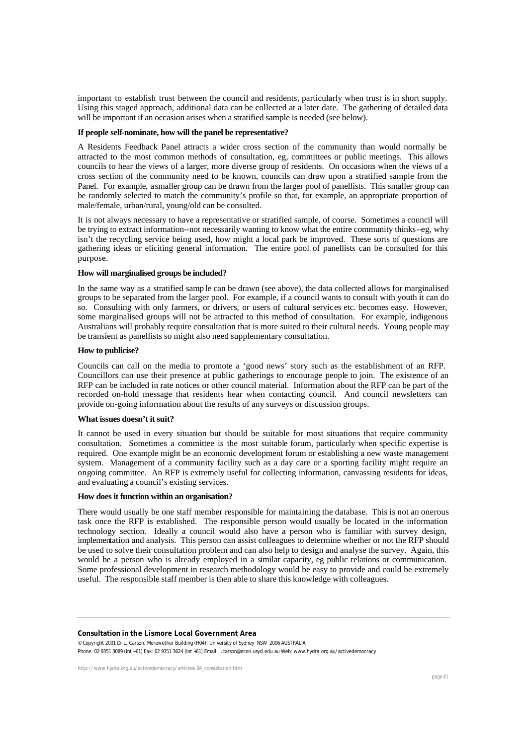important to establish trust between the council and residents, particularly when trust is in short supply. Using this staged approach, additional data can be collected at a later date. The gathering of detailed data will be important if an occasion arises when a stratified sample is needed (see below).

# **If people self-nominate, how will the panel be representative?**

A Residents Feedback Panel attracts a wider cross section of the community than would normally be attracted to the most common methods of consultation, eg, committees or public meetings. This allows councils to hear the views of a larger, more diverse group of residents. On occasions when the views of a cross section of the community need to be known, councils can draw upon a stratified sample from the Panel. For example, a smaller group can be drawn from the larger pool of panellists. This smaller group can be randomly selected to match the community's profile so that, for example, an appropriate proportion of male/female, urban/rural, young/old can be consulted.

It is not always necessary to have a representative or stratified sample, of course. Sometimes a council will be trying to extract information--not necessarily wanting to know what the entire community thinks--eg, why isn't the recycling service being used, how might a local park be improved. These sorts of questions are gathering ideas or eliciting general information. The entire pool of panellists can be consulted for this purpose.

## **How will marginalised groups be included?**

In the same way as a stratified samp le can be drawn (see above), the data collected allows for marginalised groups to be separated from the larger pool. For example, if a council wants to consult with youth it can do so. Consulting with only farmers, or drivers, or users of cultural services etc. becomes easy. However, some marginalised groups will not be attracted to this method of consultation. For example, indigenous Australians will probably require consultation that is more suited to their cultural needs. Young people may be transient as panellists so might also need supplementary consultation.

## **How to publicise?**

Councils can call on the media to promote a 'good news' story such as the establishment of an RFP. Councillors can use their presence at public gatherings to encourage people to join. The existence of an RFP can be included in rate notices or other council material. Information about the RFP can be part of the recorded on-hold message that residents hear when contacting council. And council newsletters can provide on-going information about the results of any surveys or discussion groups.

#### **What issues doesn't it suit?**

It cannot be used in every situation but should be suitable for most situations that require community consultation. Sometimes a committee is the most suitable forum, particularly when specific expertise is required. One example might be an economic development forum or establishing a new waste management system. Management of a community facility such as a day care or a sporting facility might require an ongoing committee. An RFP is extremely useful for collecting information, canvassing residents for ideas, and evaluating a council's existing services.

## **How does it function within an organisation?**

There would usually be one staff member responsible for maintaining the database. This is not an onerous task once the RFP is established. The responsible person would usually be located in the information technology section. Ideally a council would also have a person who is familiar with survey design, implementation and analysis. This person can assist colleagues to determine whether or not the RFP should be used to solve their consultation problem and can also help to design and analyse the survey. Again, this would be a person who is already employed in a similar capacity, eg public relations or communication. Some professional development in research methodology would be easy to provide and could be extremely useful. The responsible staff member is then able to share this knowledge with colleagues.

## **Consultation in the Lismore Local Government Area**

© Copyright 2001 Dr L. Carson, Merewether Building (H04), University of Sydney NSW 2006 AUSTRALIA Phone: 02 9351 3089 (Int +61) Fax: 02 9351 3624 (Int +61) Email: l.carson@econ.usyd.edu.au Web: www.hydra.org.au/activedemocracy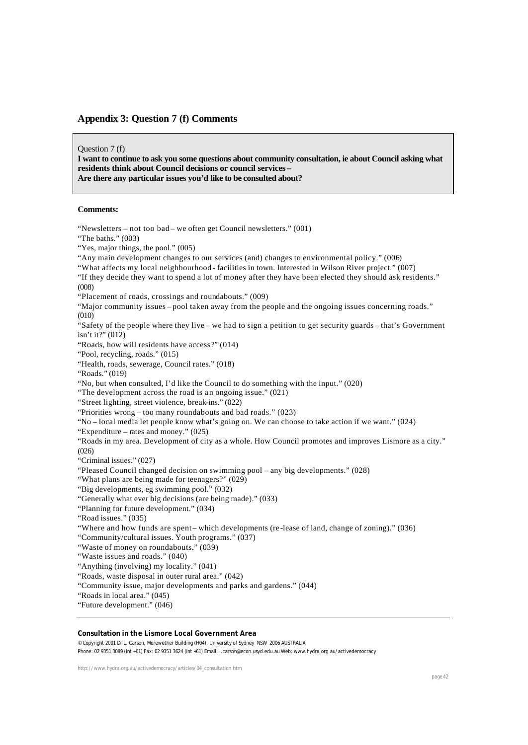# **Appendix 3: Question 7 (f) Comments**

Question 7 (f)

**I want to continue to ask you some questions about community consultation, ie about Council asking what residents think about Council decisions or council services – Are there any particular issues you'd like to be consulted about?**

# **Comments:**

"Newsletters – not too bad – we often get Council newsletters." (001) "The baths." (003) "Yes, major things, the pool." (005) "Any main development changes to our services (and) changes to environmental policy." (006) "What affects my local neighbourhood - facilities in town. Interested in Wilson River project." (007) "If they decide they want to spend a lot of money after they have been elected they should ask residents." (008) "Placement of roads, crossings and roundabouts." (009) "Major community issues – pool taken away from the people and the ongoing issues concerning roads." (010) "Safety of the people where they live – we had to sign a petition to get security guards – that's Government isn't it?" (012) "Roads, how will residents have access?" (014) "Pool, recycling, roads." (015) "Health, roads, sewerage, Council rates." (018) "Roads." (019) "No, but when consulted, I'd like the Council to do something with the input." (020) "The development across the road is an ongoing issue." (021) "Street lighting, street violence, break-ins." (022) "Priorities wrong – too many roundabouts and bad roads." (023) "No – local media let people know what's going on. We can choose to take action if we want." (024) "Expenditure – rates and money." (025) "Roads in my area. Development of city as a whole. How Council promotes and improves Lismore as a city." (026) "Criminal issues." (027) "Pleased Council changed decision on swimming pool – any big developments." (028) "What plans are being made for teenagers?" (029) "Big developments, eg swimming pool." (032) "Generally what ever big decisions (are being made)." (033) "Planning for future development." (034) "Road issues." (035) "Where and how funds are spent – which developments (re -lease of land, change of zoning)." (036) "Community/cultural issues. Youth programs." (037) "Waste of money on roundabouts." (039) "Waste issues and roads." (040) "Anything (involving) my locality." (041) "Roads, waste disposal in outer rural area." (042) "Community issue, major developments and parks and gardens." (044) "Roads in local area." (045) "Future development." (046)

## **Consultation in the Lismore Local Government Area**

© Copyright 2001 Dr L. Carson, Merewether Building (H04), University of Sydney NSW 2006 AUSTRALIA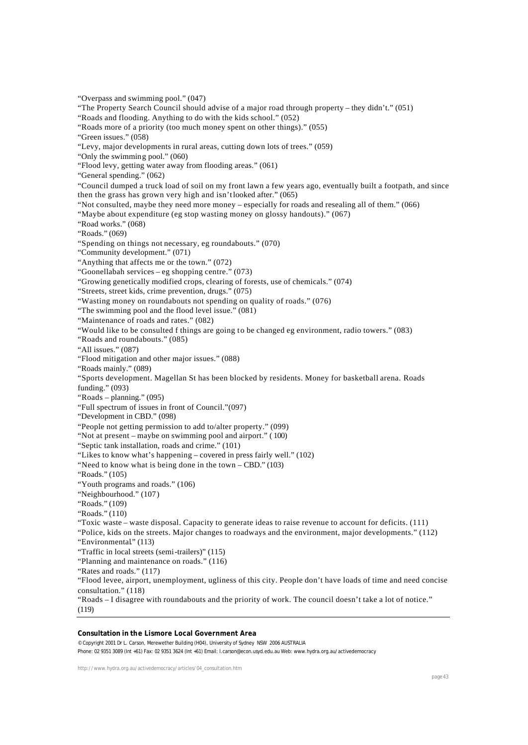"Overpass and swimming pool." (047) "The Property Search Council should advise of a major road through property – they didn't." (051) "Roads and flooding. Anything to do with the kids school." (052) "Roads more of a priority (too much money spent on other things)." (055) "Green issues." (058) "Levy, major developments in rural areas, cutting down lots of trees." (059) "Only the swimming pool." (060) "Flood levy, getting water away from flooding areas." (061) "General spending." (062) "Council dumped a truck load of soil on my front lawn a few years ago, eventually built a footpath, and since then the grass has grown very high and isn't looked after." (065) "Not consulted, maybe they need more money – especially for roads and resealing all of them." (066) "Maybe about expenditure (eg stop wasting money on glossy handouts)." (067) "Road works." (068) "Roads." (069) "Spending on things not necessary, eg roundabouts." (070) "Community development." (071) "Anything that affects me or the town." (072) "Goonellabah services – eg shopping centre." (073) "Growing genetically modified crops, clearing of forests, use of chemicals." (074) "Streets, street kids, crime prevention, drugs." (075) "Wasting money on roundabouts not spending on quality of roads." (076) "The swimming pool and the flood level issue." (081) "Maintenance of roads and rates." (082) "Would like to be consulted f things are going to be changed eg environment, radio towers." (083) "Roads and roundabouts." (085) "All issues." (087) "Flood mitigation and other major issues." (088) "Roads mainly." (089) "Sports development. Magellan St has been blocked by residents. Money for basketball arena. Roads funding." (093) "Roads – planning." (095) "Full spectrum of issues in front of Council."(097) "Development in CBD." (098) "People not getting permission to add to/alter property." (099) "Not at present – maybe on swimming pool and airport." ( 100) "Septic tank installation, roads and crime." (101) "Likes to know what's happening – covered in press fairly well." (102) "Need to know what is being done in the town – CBD." (103) "Roads." (105) "Youth programs and roads." (106) "Neighbourhood." (107) "Roads." (109) "Roads." (110) "Toxic waste – waste disposal. Capacity to generate ideas to raise revenue to account for deficits. (111) "Police, kids on the streets. Major changes to roadways and the environment, major developments." (112) "Environmental" (113) "Traffic in local streets (semi-trailers)" (115) "Planning and maintenance on roads." (116) "Rates and roads." (117) "Flood levee, airport, unemployment, ugliness of this city. People don't have loads of time and need concise consultation." (118) "Roads – I disagree with roundabouts and the priority of work. The council doesn't take a lot of notice." (119)

## **Consultation in the Lismore Local Government Area**

© Copyright 2001 Dr L. Carson, Merewether Building (H04), University of Sydney NSW 2006 AUSTRALIA Phone: 02 9351 3089 (Int +61) Fax: 02 9351 3624 (Int +61) Email: l.carson@econ.usyd.edu.au Web: www.hydra.org.au/activedemocracy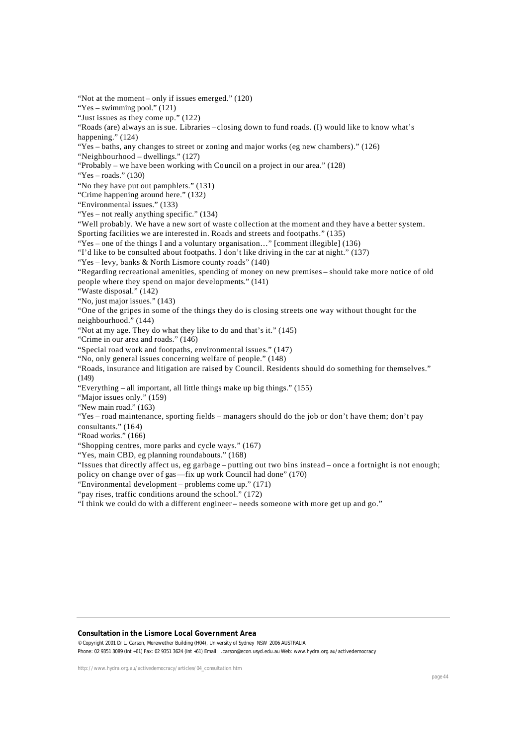"Not at the moment – only if issues emerged." (120) "Yes – swimming pool." (121) "Just issues as they come up." (122) "Roads (are) always an issue. Libraries – closing down to fund roads. (I) would like to know what's happening." (124) "Yes – baths, any changes to street or zoning and major works (eg new chambers)." (126) "Neighbourhood – dwellings." (127) "Probably – we have been working with Council on a project in our area." (128) "Yes – roads." (130) "No they have put out pamphlets." (131) "Crime happening around here." (132) "Environmental issues." (133) "Yes – not really anything specific." (134) "Well probably. We have a new sort of waste collection at the moment and they have a better system. Sporting facilities we are interested in. Roads and streets and footpaths." (135) "Yes – one of the things I and a voluntary organisation…" [comment illegible] (136) "I'd like to be consulted about footpaths. I don't like driving in the car at night." (137) "Yes – levy, banks & North Lismore county roads" (140) "Regarding recreational amenities, spending of money on new premises – should take more notice of old people where they spend on major developments." (141) "Waste disposal." (142) "No, just major issues." (143) "One of the gripes in some of the things they do is closing streets one way without thought for the neighbourhood." (144) "Not at my age. They do what they like to do and that's it." (145) "Crime in our area and roads." (146) "Special road work and footpaths, environmental issues." (147) "No, only general issues concerning welfare of people." (148) "Roads, insurance and litigation are raised by Council. Residents should do something for themselves." (149) "Everything – all important, all little things make up big things." (155) "Major issues only." (159) "New main road." (163) "Yes – road maintenance, sporting fields – managers should do the job or don't have them; don't pay consultants." (164) "Road works." (166) "Shopping centres, more parks and cycle ways." (167) "Yes, main CBD, eg planning roundabouts." (168) "Issues that directly affect us, eg garbage – putting out two bins instead – once a fortnight is not enough; policy on change over of gas —fix up work Council had done" (170) "Environmental development – problems come up." (171) "pay rises, traffic conditions around the school." (172) "I think we could do with a different engineer – needs someone with more get up and go."

## **Consultation in the Lismore Local Government Area**

© Copyright 2001 Dr L. Carson, Merewether Building (H04), University of Sydney NSW 2006 AUSTRALIA Phone: 02 9351 3089 (Int +61) Fax: 02 9351 3624 (Int +61) Email: l.carson@econ.usyd.edu.au Web: www.hydra.org.au/activedemocracy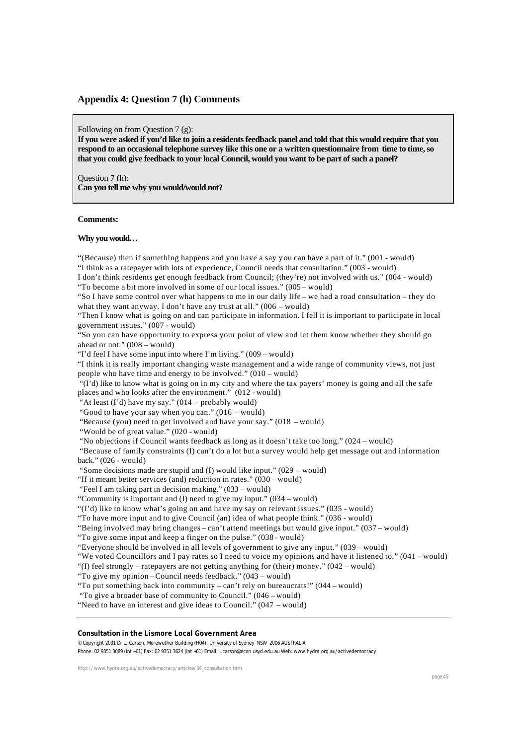# **Appendix 4: Question 7 (h) Comments**

Following on from Question 7 (g):

**If you were asked if you'd like to join a residents feedback panel and told that this would require that you respond to an occasional telephone survey like this one or a written questionnaire from time to time, so that you could give feedback to your local Council, would you want to be part of such a panel?**

Question 7 (h): **Can you tell me why you would/would not?**

# **Comments:**

# **Why you would…**

"(Because) then if something happens and you have a say you can have a part of it." (001 - would)

"I think as a ratepayer with lots of experience, Council needs that consultation." (003 - would)

I don't think residents get enough feedback from Council; (they're) not involved with us." (004 - would) "To become a bit more involved in some of our local issues." (005 – would)

"So I have some control over what happens to me in our daily life – we had a road consultation – they do what they want anyway. I don't have any trust at all." (006 – would)

"Then I know what is going on and can participate in information. I fell it is important to participate in local government issues." (007 - would)

"So you can have opportunity to express your point of view and let them know whether they should go ahead or not." (008 – would)

"I'd feel I have some input into where I'm living." (009 – would)

"I think it is really important changing waste management and a wide range of community views, not just people who have time and energy to be involved." (010 – would)

 "(I'd) like to know what is going on in my city and where the tax payers' money is going and all the safe places and who looks after the environment." (012 - would)

"At least  $(I'd)$  have my say."  $(014 - \text{probability would})$ 

"Good to have your say when you can." (016 – would)

"Because (you) need to get involved and have your say." (018 – would)

"Would be of great value." (020 - would)

"No objections if Council wants feedback as long as it doesn't take too long." (024 – would)

 "Because of family constraints (I) can't do a lot but a survey would help get message out and information back."  $(026 - would)$ 

"Some decisions made are stupid and (I) would like input." (029 – would)

"If it meant better services (and) reduction in rates." (030 – would)

"Feel I am taking part in decision making." (033 – would)

"Community is important and (I) need to give my input." (034 – would)

"(I'd) like to know what's going on and have my say on relevant issues." (035 - would)

"To have more input and to give Council (an) idea of what people think." (036 - would)

"Being involved may bring changes – can't attend meetings but would give input." (037 – would)

"To give some input and keep a finger on the pulse." (038 - would)

"Everyone should be involved in all levels of government to give any input." (039 – would)

"We voted Councillors and I pay rates so I need to voice my opinions and have it listened to." (041 – would)

"(I) feel strongly – ratepayers are not getting anything for (their) money." (042 – would)

"To give my opinion – Council needs feedback." (043 – would)

"To put something back into community – can't rely on bureaucrats!" (044 – would)

"To give a broader base of community to Council." (046 – would)

"Need to have an interest and give ideas to Council."  $(047 - \text{would})$ 

## **Consultation in the Lismore Local Government Area**

© Copyright 2001 Dr L. Carson, Merewether Building (H04), University of Sydney NSW 2006 AUSTRALIA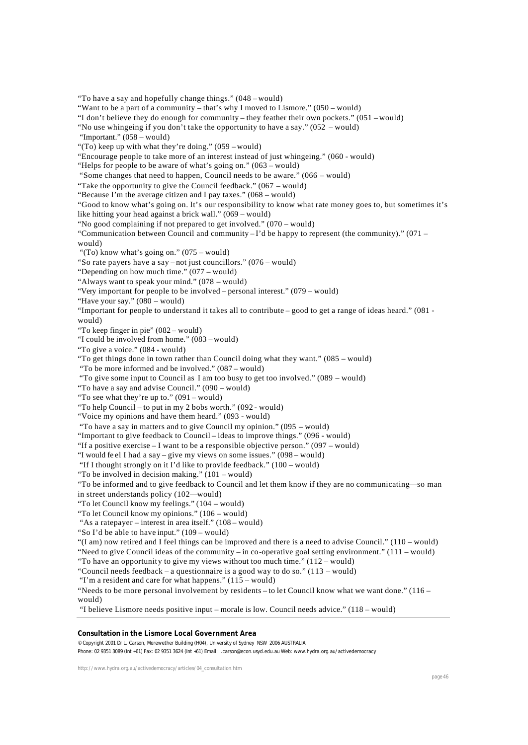"To have a say and hopefully change things." (048 – would) "Want to be a part of a community – that's why I moved to Lismore." (050 – would) "I don't believe they do enough for community – they feather their own pockets." (051 – would) "No use whingeing if you don't take the opportunity to have a say."  $(052 - would)$  "Important." (058 – would) "(To) keep up with what they're doing."  $(059 - \text{would})$ "Encourage people to take more of an interest instead of just whingeing." (060 - would) "Helps for people to be aware of what's going on." (063 – would) "Some changes that need to happen, Council needs to be aware." (066 – would) "Take the opportunity to give the Council feedback."  $(067 - would)$ "Because I'm the average citizen and I pay taxes." (068 – would) "Good to know what's going on. It's our responsibility to know what rate money goes to, but sometimes it's like hitting your head against a brick wall." (069 – would) "No good complaining if not prepared to get involved." (070 – would) "Communication between Council and community  $-I$ 'd be happy to represent (the community)." (071 – would) "(To) know what's going on."  $(075 - \text{would})$ "So rate payers have a say – not just councillors." (076 – would) "Depending on how much time."  $(077 -$  would) "Always want to speak your mind." (078 – would) "Very important for people to be involved – personal interest." (079 – would) "Have your say." (080 – would) "Important for people to understand it takes all to contribute – good to get a range of ideas heard." (081 would) "To keep finger in pie" (082 – would) "I could be involved from home." (083 – would) "To give a voice." (084 - would) "To get things done in town rather than Council doing what they want." (085 – would) "To be more informed and be involved." (087 – would) "To give some input to Council as I am too busy to get too involved." (089 – would) "To have a say and advise Council." (090 – would) "To see what they're up to." (091 – would) "To help Council – to put in my 2 bobs worth." (092 - would) "Voice my opinions and have them heard." (093 - would) "To have a say in matters and to give Council my opinion." (095 – would) "Important to give feedback to Council – ideas to improve things." (096 - would) "If a positive exercise – I want to be a responsible objective person." (097 – would) "I would fe el I had a say – give my views on some issues." (098 – would) "If I thought strongly on it I'd like to provide feedback." (100 – would) "To be involved in decision making."  $(101 - \text{would})$ "To be informed and to give feedback to Council and let them know if they are no communicating—so man in street understands policy (102—would) "To let Council know my feelings." (104 – would) "To let Council know my opinions." (106 – would) "As a ratepayer – interest in area itself." (108 – would) "So I'd be able to have input." (109 – would) "(I am) now retired and I feel things can be improved and there is a need to advise Council." (110 – would) "Need to give Council ideas of the community – in co-operative goal setting environment." (111 – would) "To have an opportunity to give my views without too much time." (112 – would) "Council needs feedback – a questionnaire is a good way to do so." (113 – would) "I'm a resident and care for what happens." (115 – would) "Needs to be more personal involvement by residents – to let Council know what we want done." (116 – would) "I believe Lismore needs positive input – morale is low. Council needs advice." (118 – would)

# **Consultation in the Lismore Local Government Area**

© Copyright 2001 Dr L. Carson, Merewether Building (H04), University of Sydney NSW 2006 AUSTRALIA Phone: 02 9351 3089 (Int +61) Fax: 02 9351 3624 (Int +61) Email: l.carson@econ.usyd.edu.au Web: www.hydra.org.au/activedemocracy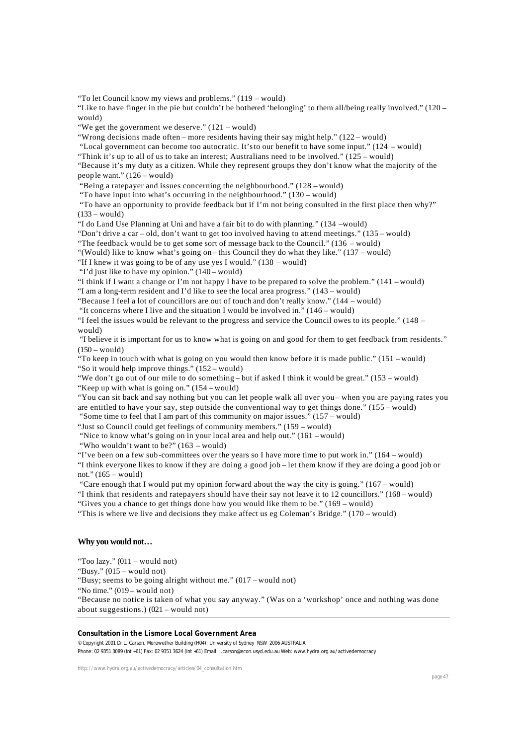"To let Council know my views and problems." (119 – would)

"Like to have finger in the pie but couldn't be bothered 'belonging' to them all/being really involved." (120 – would)

"We get the government we deserve."  $(121 - \text{would})$ 

"Wrong decisions made often – more residents having their say might help." (122 – would)

"Local government can become too autocratic. It's to our benefit to have some input." (124 – would)

"Think it's up to all of us to take an interest; Australians need to be involved."  $(125 - \text{would})$ 

"Because it's my duty as a citizen. While they represent groups they don't know what the majority of the people want." (126 – would)

"Being a ratepayer and issues concerning the neighbourhood." (128 – would)

"To have input into what's occurring in the neighbourhood." (130 – would)

 "To have an opportunity to provide feedback but if I'm not being consulted in the first place then why?"  $(133 - would)$ 

"I do Land Use Planning at Uni and have a fair bit to do with planning." (134 –would)

"Don't drive a car – old, don't want to get too involved having to attend meetings." (135 – would)

"The feedback would be to get some sort of message back to the Council." (136 – would)

"(Would) like to know what's going on – this Council they do what they like." (137 – would)

"If I knew it was going to be of any use yes I would." (138 – would)

"I'd just like to have my opinion." (140 – would)

"I think if I want a change or I'm not happy I have to be prepared to solve the problem." (141 – would)

"I am a long-term resident and I'd like to see the local area progress." (143 – would)

"Because I feel a lot of councillors are out of touch and don't really know." (144 – would)

"It concerns where I live and the situation I would be involved in."  $(146 - \text{would})$ 

"I feel the issues would be relevant to the progress and service the Council owes to its people." (148 – would)

 "I believe it is important for us to know what is going on and good for them to get feedback from residents."  $(150 - would)$ 

"To keep in touch with what is going on you would then know before it is made public." (151 – would) "So it would help improve things." (152 – would)

"We don't go out of our mile to do something – but if asked I think it would be great." (153 – would) "Keep up with what is going on." (154 – would)

"You can sit back and say nothing but you can let people walk all over you – when you are paying rates you are entitled to have your say, step outside the conventional way to get things done." (155 – would) "Some time to feel that I am part of this community on major issues." (157 – would)

"Just so Council could get feelings of community members." (159 – would)

"Nice to know what's going on in your local area and help out." (161 – would)

"Who wouldn't want to be?" (163 – would)

"I've been on a few sub-committees over the years so I have more time to put work in." (164 – would) "I think everyone likes to know if they are doing a good job – let them know if they are doing a good job or not." $(165 - \text{would})$ 

"Care enough that I would put my opinion forward about the way the city is going."  $(167 - \text{would})$ "I think that residents and ratepayers should have their say not leave it to 12 councillors." (168 – would)

"Gives you a chance to get things done how you would like them to be." (169 – would)

"This is where we live and decisions they make affect us eg Coleman's Bridge." (170 – would)

# **Why you would not…**

"Too lazy." (011 – would not) "Busy."  $(015 -$  would not) "Busy; seems to be going alright without me." (017 – would not) "No time." (019 – would not) "Because no notice is taken of what you say anyway." (Was on a 'workshop' once and nothing was done about suggestions.) (021 – would not)

## **Consultation in the Lismore Local Government Area**

© Copyright 2001 Dr L. Carson, Merewether Building (H04), University of Sydney NSW 2006 AUSTRALIA Phone: 02 9351 3089 (Int +61) Fax: 02 9351 3624 (Int +61) Email: l.carson@econ.usyd.edu.au Web: www.hydra.org.au/activedemocracy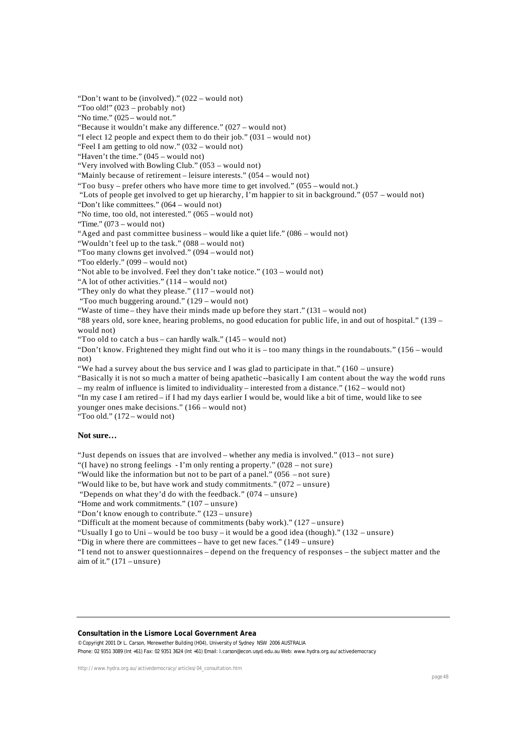"Don't want to be (involved)." (022 – would not) "Too old!" (023 – probably not) "No time." (025 – would not." "Because it wouldn't make any difference." (027 – would not) "I elect 12 people and expect them to do their job." (031 – would not) "Feel I am getting to old now." (032 – would not) "Haven't the time." (045 – would not) "Very involved with Bowling Club." (053 – would not) "Mainly because of retirement – leisure interests." (054 – would not) "Too busy – prefer others who have more time to get involved." (055 – would not.) "Lots of people get involved to get up hierarchy, I'm happier to sit in background." (057 – would not) "Don't like committees." (064 – would not) "No time, too old, not interested." (065 – would not) "Time."  $(073 -$  would not) "Aged and past committee business – would like a quiet life." (086 – would not) "Wouldn't feel up to the task." (088 – would not) "Too many clowns get involved." (094 – would not) "Too elderly." (099 – would not) "Not able to be involved. Feel they don't take notice." (103 – would not) "A lot of other activities." (114 – would not) "They only do what they please." (117 – would not) "Too much buggering around." (129 – would not) "Waste of time – they have their minds made up before they start." (131 – would not) "88 years old, sore knee, hearing problems, no good education for public life, in and out of hospital." (139 – would not) "Too old to catch a bus – can hardly walk." (145 – would not) "Don't know. Frightened they might find out who it is – too many things in the roundabouts." (156 – would not) "We had a survey about the bus service and I was glad to participate in that." (160 – unsure) "Basically it is not so much a matter of being apathetic --basically I am content about the way the world runs – my realm of influence is limited to individuality – interested from a distance." (162 – would not) "In my case I am retired – if I had my days earlier I would be, would like a bit of time, would like to see

younger ones make decisions." (166 – would not)

"Too old." (172 – would not)

# **Not sure…**

"Just depends on issues that are involved – whether any media is involved." (013 – not sure)

"(I have) no strong feelings - I'm only renting a property."  $(0.028 - not sure)$ 

"Would like the information but not to be part of a panel." (056 – not sure)

"Would like to be, but have work and study commitments." (072 – unsure)

"Depends on what they'd do with the feedback." (074 – unsure)

"Home and work commitments." (107 – unsure)

"Don't know enough to contribute." (123 – unsure) "Difficult at the moment because of commitments (baby work)." (127 – unsure)

"Usually I go to Uni – would be too busy – it would be a good idea (though)." (132 – unsure)

"Dig in where there are committees – have to get new faces." (149 – unsure)

"I tend not to answer questionnaires – depend on the frequency of responses – the subject matter and the aim of it."  $(171 -$ unsure)

# **Consultation in the Lismore Local Government Area**

© Copyright 2001 Dr L. Carson, Merewether Building (H04), University of Sydney NSW 2006 AUSTRALIA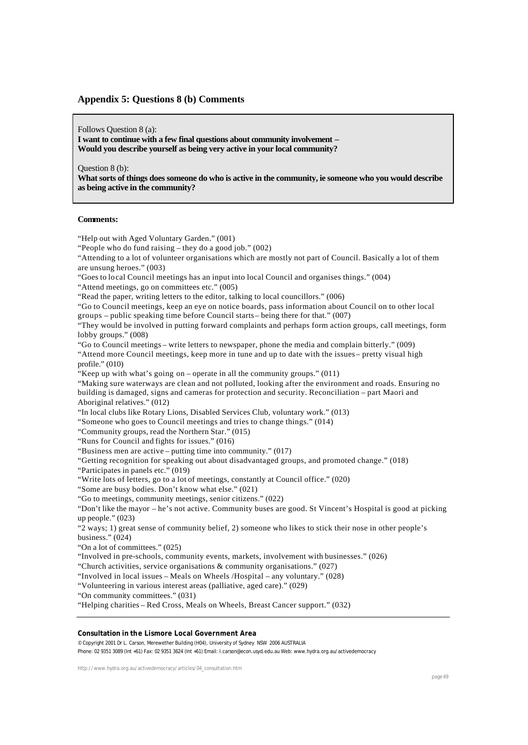# **Appendix 5: Questions 8 (b) Comments**

Follows Question 8 (a):

**I want to continue with a few final questions about community involvement – Would you describe yourself as being very active in your local community?**

Question 8 (b):

**What sorts of things does someone do who is active in the community, ie someone who you would describe as being active in the community?**

# **Comments:**

"Help out with Aged Voluntary Garden." (001)

"People who do fund raising – they do a good job." (002)

"Attending to a lot of volunteer organisations which are mostly not part of Council. Basically a lot of them are unsung heroes." (003)

"Goes to local Council meetings has an input into local Council and organises things." (004)

"Attend meetings, go on committees etc." (005)

"Read the paper, writing letters to the editor, talking to local councillors." (006)

"Go to Council meetings, keep an eye on notice boards, pass information about Council on to other local

groups – public speaking time before Council starts – being there for that." (007)

"They would be involved in putting forward complaints and perhaps form action groups, call meetings, form lobby groups." (008)

"Go to Council meetings – write letters to newspaper, phone the media and complain bitterly." (009) "Attend more Council meetings, keep more in tune and up to date with the issues – pretty visual high profile." (010)

"Keep up with what's going on – operate in all the community groups."  $(011)$ 

"Making sure waterways are clean and not polluted, looking after the environment and roads. Ensuring no building is damaged, signs and cameras for protection and security. Reconciliation – part Maori and Aboriginal relatives." (012)

"In local clubs like Rotary Lions, Disabled Services Club, voluntary work." (013)

"Someone who goes to Council meetings and tries to change things." (014)

"Community groups, read the Northern Star." (015)

"Runs for Council and fights for issues." (016)

"Business men are active – putting time into community." (017)

"Getting recognition for speaking out about disadvantaged groups, and promoted change." (018)

"Participates in panels etc." (019)

"Write lots of letters, go to a lot of meetings, constantly at Council office." (020)

"Some are busy bodies. Don't know what else." (021)

"Go to meetings, community meetings, senior citizens." (022)

"Don't like the mayor – he's not active. Community buses are good. St Vincent's Hospital is good at picking up people." (023)

"2 ways; 1) great sense of community belief, 2) someone who likes to stick their nose in other people's business."  $(024)$ 

"On a lot of committees." (025)

"Involved in pre-schools, community events, markets, involvement with businesses." (026)

"Church activities, service organisations & community organisations." (027)

"Involved in local issues – Meals on Wheels /Hospital – any voluntary." (028)

"Volunteering in various interest areas (palliative, aged care)." (029)

"On community committees." (031)

"Helping charities – Red Cross, Meals on Wheels, Breast Cancer support." (032)

## **Consultation in the Lismore Local Government Area**

© Copyright 2001 Dr L. Carson, Merewether Building (H04), University of Sydney NSW 2006 AUSTRALIA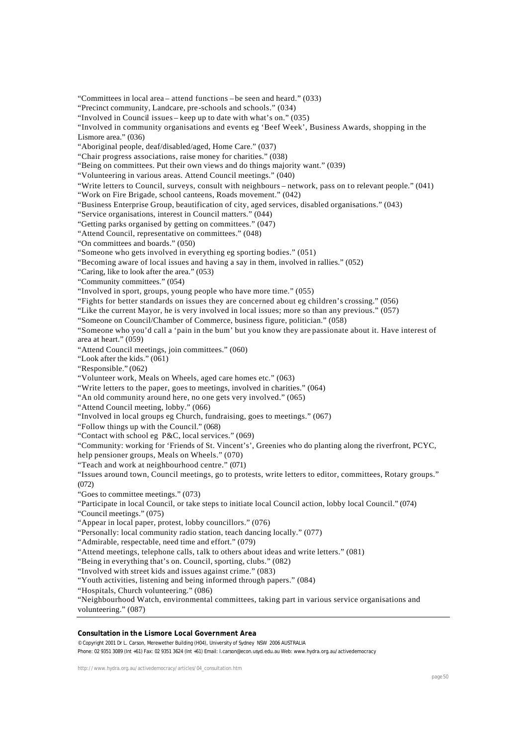**Consultation in the Lismore Local Government Area** © Copyright 2001 Dr L. Carson, Merewether Building (H04), University of Sydney NSW 2006 AUSTRALIA "Committees in local area – attend functions – be seen and heard." (033) "Precinct community, Landcare, pre-schools and schools." (034) "Involved in Council issues – keep up to date with what's on." (035) "Involved in community organisations and events eg 'Beef Week', Business Awards, shopping in the Lismore area." (036) "Aboriginal people, deaf/disabled/aged, Home Care." (037) "Chair progress associations, raise money for charities." (038) "Being on committees. Put their own views and do things majority want." (039) "Volunteering in various areas. Attend Council meetings." (040) "Write letters to Council, surveys, consult with neighbours – network, pass on to relevant people." (041) "Work on Fire Brigade, school canteens, Roads movement." (042) "Business Enterprise Group, beautification of city, aged services, disabled organisations." (043) "Service organisations, interest in Council matters." (044) "Getting parks organised by getting on committees." (047) "Attend Council, representative on committees." (048) "On committees and boards." (050) "Someone who gets involved in everything eg sporting bodies." (051) "Becoming aware of local issues and having a say in them, involved in rallies." (052) "Caring, like to look after the area." (053) "Community committees." (054) "Involved in sport, groups, young people who have more time." (055) "Fights for better standards on issues they are concerned about eg children's crossing." (056) "Like the current Mayor, he is very involved in local issues; more so than any previous." (057) "Someone on Council/Chamber of Commerce, business figure, politician." (058) "Someone who you'd call a 'pain in the bum' but you know they are passionate about it. Have interest of area at heart." (059) "Attend Council meetings, join committees." (060) "Look after the kids." (061) "Responsible." (062) "Volunteer work, Meals on Wheels, aged care homes etc." (063) "Write letters to the paper, goes to meetings, involved in charities." (064) "An old community around here, no one gets very involved." (065) "Attend Council meeting, lobby." (066) "Involved in local groups eg Church, fundraising, goes to meetings." (067) "Follow things up with the Council." (068) "Contact with school eg P&C, local services." (069) "Community: working for 'Friends of St. Vincent's', Greenies who do planting along the riverfront, PCYC, help pensioner groups, Meals on Wheels." (070) "Teach and work at neighbourhood centre." (071) "Issues around town, Council meetings, go to protests, write letters to editor, committees, Rotary groups." (072) "Goes to committee meetings." (073) "Participate in local Council, or take steps to initiate local Council action, lobby local Council." (074) "Council meetings." (075) "Appear in local paper, protest, lobby councillors." (076) "Personally: local community radio station, teach dancing locally." (077) "Admirable, respectable, need time and effort." (079) "Attend meetings, telephone calls, t alk to others about ideas and write letters." (081) "Being in everything that's on. Council, sporting, clubs." (082) "Involved with street kids and issues against crime." (083) "Youth activities, listening and being informed through papers." (084) "Hospitals, Church volunteering." (086) "Neighbourhood Watch, environmental committees, taking part in various service organisations and volunteering." (087)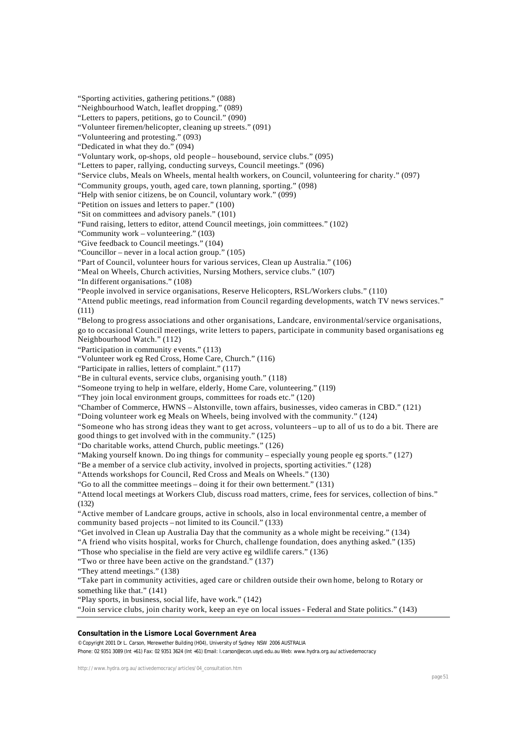"Sporting activities, gathering petitions." (088)

"Neighbourhood Watch, leaflet dropping." (089)

"Letters to papers, petitions, go to Council." (090)

"Volunteer firemen/helicopter, cleaning up streets." (091)

"Volunteering and protesting." (093)

"Dedicated in what they do." (094)

"Voluntary work, op-shops, old people – housebound, service clubs." (095)

"Letters to paper, rallying, conducting surveys, Council meetings." (096)

"Service clubs, Meals on Wheels, mental health workers, on Council, volunteering for charity." (097)

"Community groups, youth, aged care, town planning, sporting." (098)

"Help with senior citizens, be on Council, voluntary work." (099)

"Petition on issues and letters to paper." (100)

"Sit on committees and advisory panels." (101)

"Fund raising, letters to editor, attend Council meetings, join committees." (102)

"Community work – volunteering." (103)

"Give feedback to Council meetings." (104)

"Councillor – never in a local action group." (105)

"Part of Council, volunteer hours for various services, Clean up Australia." (106)

"Meal on Wheels, Church activities, Nursing Mothers, service clubs." (107)

"In different organisations." (108)

"People involved in service organisations, Reserve Helicopters, RSL/Workers clubs." (110)

"Attend public meetings, read information from Council regarding developments, watch TV news services." (111)

"Belong to progress associations and other organisations, Landcare, environmental/service organisations, go to occasional Council meetings, write letters to papers, participate in community based organisations eg Neighbourhood Watch." (112)

"Participation in community events." (113)

"Volunteer work eg Red Cross, Home Care, Church." (116)

"Participate in rallies, letters of complaint." (117)

"Be in cultural events, service clubs, organising youth." (118)

"Someone trying to help in welfare, elderly, Home Care, volunteering." (119)

"They join local environment groups, committees for roads etc." (120)

"Chamber of Commerce, HWNS – Alstonville, town affairs, businesses, video cameras in CBD." (121)

"Doing volunteer work eg Meals on Wheels, being involved with the community." (124)

"Someone who has strong ideas they want to get across, volunteers – up to all of us to do a bit. There are good things to get involved with in the community." (125)

"Do charitable works, attend Church, public meetings." (126)

"Making yourself known. Do ing things for community – especially young people eg sports." (127)

"Be a member of a service club activity, involved in projects, sporting activities." (128)

"Attends workshops for Council, Red Cross and Meals on Wheels." (130)

"Go to all the committee meetings – doing it for their own betterment." (131)

"Attend local meetings at Workers Club, discuss road matters, crime, fees for services, collection of bins." (132)

"Active member of Landcare groups, active in schools, also in local environmental centre, a member of community based projects – not limited to its Council." (133)

"Get involved in Clean up Australia Day that the community as a whole might be receiving." (134)

"A friend who visits hospital, works for Church, challenge foundation, does anything asked." (135)

"Those who specialise in the field are very active eg wildlife carers." (136)

"Two or three have been active on the grandstand." (137)

"They attend meetings." (138)

"Take part in community activities, aged care or children outside their own home, belong to Rotary or something like that." (141)

"Play sports, in business, social life, have work." (142)

"Join service clubs, join charity work, keep an eye on local issues - Federal and State politics." (143)

## **Consultation in the Lismore Local Government Area**

© Copyright 2001 Dr L. Carson, Merewether Building (H04), University of Sydney NSW 2006 AUSTRALIA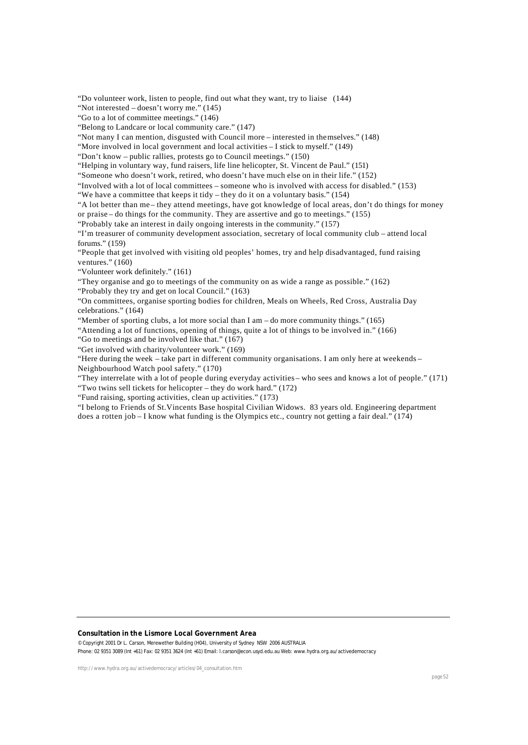"Do volunteer work, listen to people, find out what they want, try to liaise (144)

"Not interested – doesn't worry me." (145)

"Go to a lot of committee meetings." (146)

"Belong to Landcare or local community care." (147)

"Not many I can mention, disgusted with Council more – interested in themselves." (148)

"More involved in local government and local activities – I stick to myself." (149)

"Don't know – public rallies, protests go to Council meetings." (150)

"Helping in voluntary way, fund raisers, life line helicopter, St. Vincent de Paul." (151)

"Someone who doesn't work, retired, who doesn't have much else on in their life." (152)

"Involved with a lot of local committees – someone who is involved with access for disabled." (153)

"We have a committee that keeps it tidy – they do it on a voluntary basis." (154)

"A lot better than me – they attend meetings, have got knowledge of local areas, don't do things for money or praise – do things for the community. They are assertive and go to meetings." (155)

"Probably take an interest in daily ongoing interests in the community." (157)

"I'm treasurer of community development association, secretary of local community club – attend local forums." (159)

"People that get involved with visiting old peoples' homes, try and help disadvantaged, fund raising ventures." (160)

"Volunteer work definitely." (161)

"They organise and go to meetings of the community on as wide a range as possible." (162)

"Probably they try and get on local Council." (163)

"On committees, organise sporting bodies for children, Meals on Wheels, Red Cross, Australia Day celebrations." (164)

"Member of sporting clubs, a lot more social than I am – do more community things." (165)

"Attending a lot of functions, opening of things, quite a lot of things to be involved in." (166)

"Go to meetings and be involved like that." (167)

"Get involved with charity/volunteer work." (169)

"Here during the week – take part in different community organisations. I am only here at weekends –

Neighbourhood Watch pool safety." (170)

"They interrelate with a lot of people during everyday activities – who sees and knows a lot of people." (171) "Two twins sell tickets for helicopter – they do work hard." (172)

"Fund raising, sporting activities, clean up activities." (173)

"I belong to Friends of St.Vincents Base hospital Civilian Widows. 83 years old. Engineering department does a rotten job – I know what funding is the Olympics etc., country not getting a fair deal." (174)

## **Consultation in the Lismore Local Government Area**

© Copyright 2001 Dr L. Carson, Merewether Building (H04), University of Sydney NSW 2006 AUSTRALIA Phone: 02 9351 3089 (Int +61) Fax: 02 9351 3624 (Int +61) Email: l.carson@econ.usyd.edu.au Web: www.hydra.org.au/activedemocracy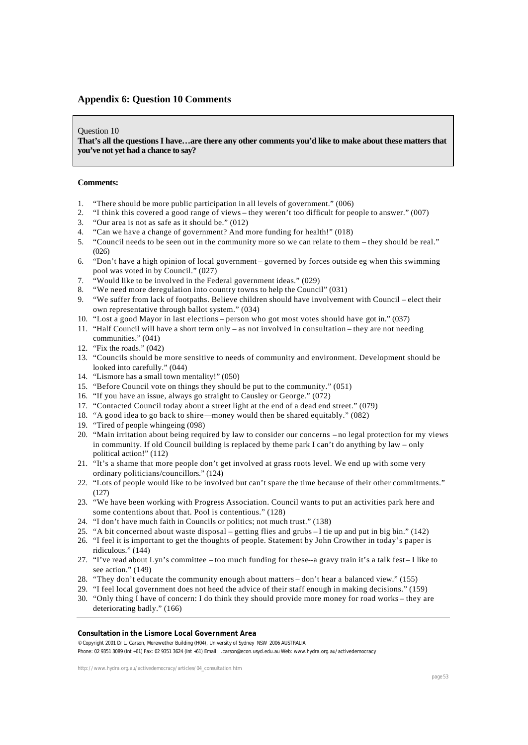# **Appendix 6: Question 10 Comments**

## Question 10

**That's all the questions I have…are there any other comments you'd like to make about these matters that you've not yet had a chance to say?**

## **Comments:**

- 1. "There should be more public participation in all levels of government." (006)
- 2. "I think this covered a good range of views they weren't too difficult for people to answer." (007)
- 3. "Our area is not as safe as it should be." (012)
- 4. "Can we have a change of government? And more funding for health!" (018)
- 5. "Council needs to be seen out in the community more so we can relate to them they should be real." (026)
- 6. "Don't have a high opinion of local government governed by forces outside eg when this swimming pool was voted in by Council." (027)
- 7. "Would like to be involved in the Federal government ideas." (029)
- 8. "We need more deregulation into country towns to help the Council" (031)
- 9. "We suffer from lack of footpaths. Believe children should have involvement with Council elect their own representative through ballot system." (034)
- 10. "Lost a good Mayor in last elections person who got most votes should have got in." (037)
- 11. "Half Council will have a short term only as not involved in consultation they are not needing communities." (041)
- 12. "Fix the roads." (042)
- 13. "Councils should be more sensitive to needs of community and environment. Development should be looked into carefully." (044)
- 14. "Lismore has a small town mentality!" (050)
- 15. "Before Council vote on things they should be put to the community." (051)
- 16. "If you have an issue, always go straight to Causley or George." (072)
- 17. "Contacted Council today about a street light at the end of a dead end street." (079)
- 18. "A good idea to go back to shire—money would then be shared equitably." (082)
- 19. "Tired of people whingeing (098)
- 20. "Main irritation about being required by law to consider our concerns no legal protection for my views in community. If old Council building is replaced by theme park I can't do anything by law – only political action!" (112)
- 21. "It's a shame that more people don't get involved at grass roots level. We end up with some very ordinary politicians/councillors." (124)
- 22. "Lots of people would like to be involved but can't spare the time because of their other commitments." (127)
- 23. "We have been working with Progress Association. Council wants to put an activities park here and some contentions about that. Pool is contentious." (128)
- 24. "I don't have much faith in Councils or politics; not much trust." (138)
- 25. "A bit concerned about waste disposal getting flies and grubs I tie up and put in big bin." (142)
- 26. "I feel it is important to get the thoughts of people. Statement by John Crowther in today's paper is ridiculous." (144)
- 27. "I've read about Lyn's committee too much funding for these--a gravy train it's a talk fest I like to see action." (149)
- 28. "They don't educate the community enough about matters don't hear a balanced view." (155)
- 29. "I feel local government does not heed the advice of their staff enough in making decisions." (159)
- 30. "Only thing I have of concern: I do think they should provide more money for road works they are deteriorating badly." (166)

## **Consultation in the Lismore Local Government Area**

© Copyright 2001 Dr L. Carson, Merewether Building (H04), University of Sydney NSW 2006 AUSTRALIA Phone: 02 9351 3089 (Int +61) Fax: 02 9351 3624 (Int +61) Email: l.carson@econ.usyd.edu.au Web: www.hydra.org.au/activedemocracy